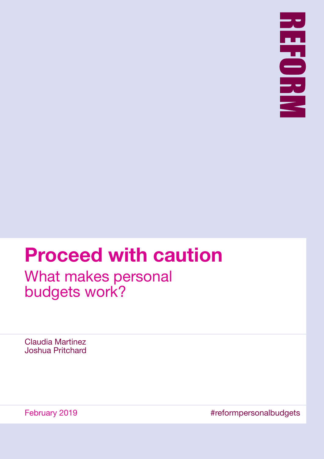

# **Proceed with caution**

What makes personal budgets work?

Claudia Martinez Joshua Pritchard

February 2019 **Example 2019 Example 2019 #reformpersonalbudgets**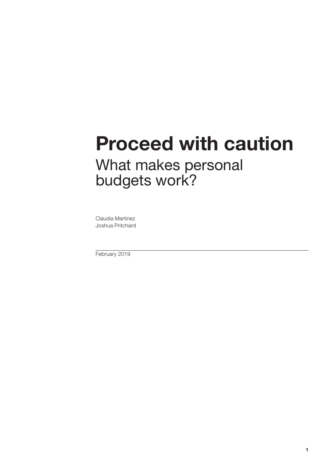# **Proceed with caution**

# What makes personal budgets work?

Claudia Martinez Joshua Pritchard

February 2019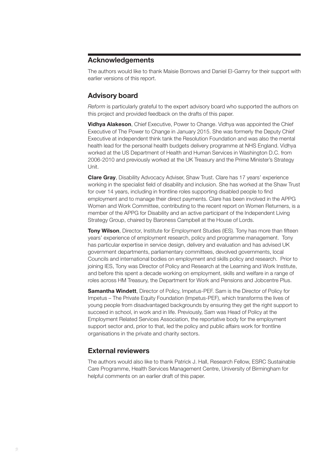# **Acknowledgements**

The authors would like to thank Maisie Borrows and Daniel El-Gamry for their support with earlier versions of this report.

# **Advisory board**

*Reform* is particularly grateful to the expert advisory board who supported the authors on this project and provided feedback on the drafts of this paper.

**Vidhya Alakeson**, Chief Executive, Power to Change. Vidhya was appointed the Chief Executive of The Power to Change in January 2015. She was formerly the Deputy Chief Executive at independent think tank the Resolution Foundation and was also the mental health lead for the personal health budgets delivery programme at NHS England. Vidhya worked at the US Department of Health and Human Services in Washington D.C. from 2006-2010 and previously worked at the UK Treasury and the Prime Minister's Strategy Unit.

**Clare Gray**, Disability Advocacy Adviser, Shaw Trust. Clare has 17 years' experience working in the specialist field of disability and inclusion. She has worked at the Shaw Trust for over 14 years, including in frontline roles supporting disabled people to find employment and to manage their direct payments. Clare has been involved in the APPG Women and Work Committee, contributing to the recent report on Women Returners, is a member of the APPG for Disability and an active participant of the Independent Living Strategy Group, chaired by Baroness Campbell at the House of Lords.

**Tony Wilson**, Director, Institute for Employment Studies (IES). Tony has more than fifteen years' experience of employment research, policy and programme management. Tony has particular expertise in service design, delivery and evaluation and has advised UK government departments, parliamentary committees, devolved governments, local Councils and international bodies on employment and skills policy and research. Prior to joining IES, Tony was Director of Policy and Research at the Learning and Work Institute, and before this spent a decade working on employment, skills and welfare in a range of roles across HM Treasury, the Department for Work and Pensions and Jobcentre Plus.

**Samantha Windett**, Director of Policy, Impetus-PEF. Sam is the Director of Policy for Impetus – The Private Equity Foundation (Impetus-PEF), which transforms the lives of young people from disadvantaged backgrounds by ensuring they get the right support to succeed in school, in work and in life. Previously, Sam was Head of Policy at the Employment Related Services Association, the reportative body for the employment support sector and, prior to that, led the policy and public affairs work for frontline organisations in the private and charity sectors.

# **External reviewers**

The authors would also like to thank Patrick J. Hall, Research Fellow, ESRC Sustainable Care Programme, Health Services Management Centre, University of Birmingham for helpful comments on an earlier draft of this paper.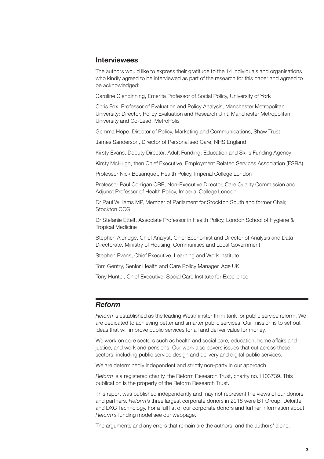## **Interviewees**

The authors would like to express their gratitude to the 14 individuals and organisations who kindly agreed to be interviewed as part of the research for this paper and agreed to be acknowledged:

Caroline Glendinning, Emerita Professor of Social Policy, University of York

Chris Fox, Professor of Evaluation and Policy Analysis, Manchester Metropolitan University; Director, Policy Evaluation and Research Unit, Manchester Metropolitan University and Co-Lead, MetroPolis

Gemma Hope, Director of Policy, Marketing and Communications, Shaw Trust

James Sanderson, Director of Personalised Care, NHS England

Kirsty Evans, Deputy Director, Adult Funding, Education and Skills Funding Agency

Kirsty McHugh, then Chief Executive, Employment Related Services Association (ESRA)

Professor Nick Bosanquet, Health Policy, Imperial College London

Professor Paul Corrigan CBE, Non-Executive Director, Care Quality Commission and Adjunct Professor of Health Policy, Imperial College London

Dr Paul Williams MP, Member of Parliament for Stockton South and former Chair, Stockton CCG

Dr Stefanie Ettelt, Associate Professor in Health Policy, London School of Hygiene & Tropical Medicine

Stephen Aldridge, Chief Analyst, Chief Economist and Director of Analysis and Data Directorate, Ministry of Housing, Communities and Local Government

Stephen Evans, Chief Executive, Learning and Work institute

Tom Gentry, Senior Health and Care Policy Manager, Age UK

Tony Hunter, Chief Executive, Social Care Institute for Excellence

### *Reform*

*Reform* is established as the leading Westminster think tank for public service reform. We are dedicated to achieving better and smarter public services. Our mission is to set out ideas that will improve public services for all and deliver value for money.

We work on core sectors such as health and social care, education, home affairs and justice, and work and pensions. Our work also covers issues that cut across these sectors, including public service design and delivery and digital public services.

We are determinedly independent and strictly non-party in our approach.

*Reform* is a registered charity, the Reform Research Trust, charity no.1103739. This publication is the property of the Reform Research Trust.

This report was published independently and may not represent the views of our donors and partners. *Reform*'s three largest corporate donors in 2018 were BT Group, Deloitte, and DXC Technology. For a full list of our corporate donors and further information about *Reform*'s funding model see our [webpage.](https://reform.uk/what-we-do/transparency)

The arguments and any errors that remain are the authors' and the authors' alone.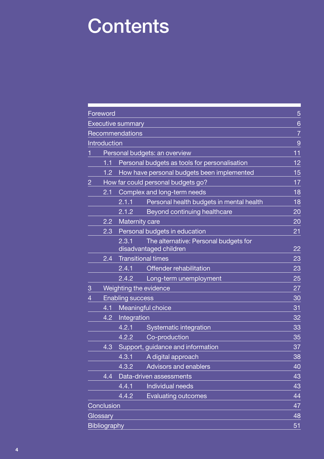# **Contents**

| Foreword                  |                         |                                                                 | 5  |
|---------------------------|-------------------------|-----------------------------------------------------------------|----|
| <b>Executive summary</b>  |                         |                                                                 | 6  |
|                           | Recommendations         |                                                                 | 7  |
| Introduction              |                         |                                                                 | 9  |
|                           |                         | Personal budgets: an overview                                   | 11 |
| 1.1                       |                         | Personal budgets as tools for personalisation                   | 12 |
| 1.2 <sub>2</sub>          |                         | How have personal budgets been implemented                      | 15 |
| $\overline{2}$            |                         | How far could personal budgets go?                              | 17 |
| 2.1                       |                         | Complex and long-term needs                                     | 18 |
|                           | 2.1.1                   | Personal health budgets in mental health                        | 18 |
|                           | 2.1.2                   | Beyond continuing healthcare                                    | 20 |
| 2.2                       | Maternity care          |                                                                 | 20 |
| 2.3                       |                         | Personal budgets in education                                   | 21 |
|                           | 2.3.1                   | The alternative: Personal budgets for<br>disadvantaged children | 22 |
| 2.4                       |                         | <b>Transitional times</b>                                       | 23 |
|                           | 2.4.1                   | Offender rehabilitation                                         | 23 |
|                           | 2.4.2                   | Long-term unemployment                                          | 25 |
| 3                         | Weighting the evidence  |                                                                 | 27 |
| 4                         | <b>Enabling success</b> |                                                                 | 30 |
| 4.1                       |                         | Meaningful choice                                               | 31 |
| 4.2                       | Integration             |                                                                 | 32 |
|                           | 4.2.1                   | Systematic integration                                          | 33 |
|                           | 4.2.2                   | Co-production                                                   | 35 |
| 4.3                       |                         | Support, guidance and information                               | 37 |
|                           | 4.3.1                   | A digital approach                                              | 38 |
|                           | 4.3.2                   | <b>Advisors and enablers</b>                                    | 40 |
| 4.4                       |                         | Data-driven assessments                                         | 43 |
|                           | 4.4.1                   | Individual needs                                                | 43 |
|                           | 4.4.2                   | <b>Evaluating outcomes</b>                                      | 44 |
| Conclusion                |                         |                                                                 | 47 |
| 48<br>Glossary            |                         |                                                                 |    |
| <b>Bibliography</b><br>51 |                         |                                                                 |    |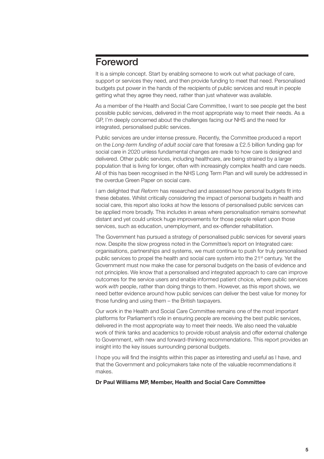# <span id="page-6-0"></span>Foreword

It is a simple concept. Start by enabling someone to work out what package of care, support or services they need, and then provide funding to meet that need. Personalised budgets put power in the hands of the recipients of public services and result in people getting what they agree they need, rather than just whatever was available.

As a member of the Health and Social Care Committee, I want to see people get the best possible public services, delivered in the most appropriate way to meet their needs. As a GP, I'm deeply concerned about the challenges facing our NHS and the need for integrated, personalised public services.

Public services are under intense pressure. Recently, the Committee produced a report on the *Long-term funding of adult social care* that foresaw a £2.5 billion funding gap for social care in 2020 unless fundamental changes are made to how care is designed and delivered. Other public services, including healthcare, are being strained by a larger population that is living for longer, often with increasingly complex health and care needs. All of this has been recognised in the NHS Long Term Plan and will surely be addressed in the overdue Green Paper on social care.

I am delighted that *Reform* has researched and assessed how personal budgets fit into these debates. Whilst critically considering the impact of personal budgets in health and social care, this report also looks at how the lessons of personalised public services can be applied more broadly. This includes in areas where personalisation remains somewhat distant and yet could unlock huge improvements for those people reliant upon those services, such as education, unemployment, and ex-offender rehabilitation.

The Government has pursued a strategy of personalised public services for several years now. Despite the slow progress noted in the Committee's report on Integrated care: organisations, partnerships and systems, we must continue to push for truly personalised public services to propel the health and social care system into the 21<sup>st</sup> century. Yet the Government must now make the case for personal budgets on the basis of evidence and not principles. We know that a personalised and integrated approach to care can improve outcomes for the service users and enable informed patient choice, where public services work *with* people, rather than doing things to them. However, as this report shows, we need better evidence around how public services can deliver the best value for money for those funding and using them – the British taxpayers.

Our work in the Health and Social Care Committee remains one of the most important platforms for Parliament's role in ensuring people are receiving the best public services, delivered in the most appropriate way to meet their needs. We also need the valuable work of think tanks and academics to provide robust analysis and offer external challenge to Government, with new and forward-thinking recommendations. This report provides an insight into the key issues surrounding personal budgets.

I hope you will find the insights within this paper as interesting and useful as I have, and that the Government and policymakers take note of the valuable recommendations it makes.

#### **Dr Paul Williams MP, Member, Health and Social Care Committee**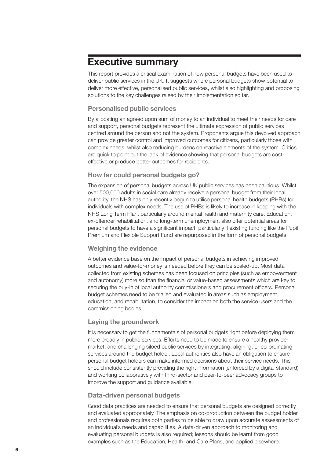# <span id="page-7-0"></span>**Executive summary**

This report provides a critical examination of how personal budgets have been used to deliver public services in the UK. It suggests where personal budgets show potential to deliver more effective, personalised public services, whilst also highlighting and proposing solutions to the key challenges raised by their implementation so far.

## **Personalised public services**

By allocating an agreed upon sum of money to an individual to meet their needs for care and support, personal budgets represent the ultimate expression of public services centred around the person and not the system. Proponents argue this devolved approach can provide greater control and improved outcomes for citizens, particularly those with complex needs, whilst also reducing burdens on reactive elements of the system. Critics are quick to point out the lack of evidence showing that personal budgets are costeffective or produce better outcomes for recipients.

# **How far could personal budgets go?**

The expansion of personal budgets across UK public services has been cautious. Whilst over 500,000 adults in social care already receive a personal budget from their local authority, the NHS has only recently begun to utilise personal health budgets (PHBs) for individuals with complex needs. The use of PHBs is likely to increase in keeping with the NHS Long Term Plan, particularly around mental health and maternity care. Education, ex-offender rehabilitation, and long-term unemployment also offer potential areas for personal budgets to have a significant impact, particularly if existing funding like the Pupil Premium and Flexible Support Fund are repurposed in the form of personal budgets.

# **Weighing the evidence**

A better evidence base on the impact of personal budgets in achieving improved outcomes and value-for-money is needed before they can be scaled-up. Most data collected from existing schemes has been focused on principles (such as empowerment and autonomy) more so than the financial or value-based assessments which are key to securing the buy-in of local authority commissioners and procurement officers. Personal budget schemes need to be trialled and evaluated in areas such as employment, education, and rehabilitation, to consider the impact on both the service users and the commissioning bodies.

# **Laying the groundwork**

It is necessary to get the fundamentals of personal budgets right before deploying them more broadly in public services. Efforts need to be made to ensure a healthy provider market, and challenging siloed public services by integrating, aligning, or co-ordinating services around the budget holder. Local authorities also have an obligation to ensure personal budget holders can make informed decisions about their service needs. This should include consistently providing the right information (enforced by a digital standard) and working collaboratively with third-sector and peer-to-peer advocacy groups to improve the support and guidance available.

## **Data-driven personal budgets**

Good data practices are needed to ensure that personal budgets are designed correctly and evaluated appropriately. The emphasis on co-production between the budget holder and professionals requires both parties to be able to draw upon accurate assessments of an individual's needs and capabilities. A data-driven approach to monitoring and evaluating personal budgets is also required; lessons should be learnt from good examples such as the Education, Health, and Care Plans, and applied elsewhere.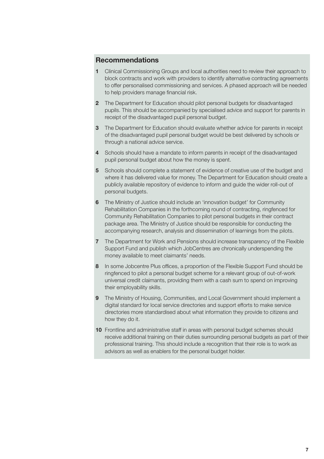# <span id="page-8-0"></span>**Recommendations**

- **1** Clinical Commissioning Groups and local authorities need to review their approach to block contracts and work with providers to identify alternative contracting agreements to offer personalised commissioning and services. A phased approach will be needed to help providers manage financial risk.
- **2** The Department for Education should pilot personal budgets for disadvantaged pupils. This should be accompanied by specialised advice and support for parents in receipt of the disadvantaged pupil personal budget.
- **3** The Department for Education should evaluate whether advice for parents in receipt of the disadvantaged pupil personal budget would be best delivered by schools or through a national advice service.
- **4** Schools should have a mandate to inform parents in receipt of the disadvantaged pupil personal budget about how the money is spent.
- **5** Schools should complete a statement of evidence of creative use of the budget and where it has delivered value for money. The Department for Education should create a publicly available repository of evidence to inform and guide the wider roll-out of personal budgets.
- **6** The Ministry of Justice should include an 'innovation budget' for Community Rehabilitation Companies in the forthcoming round of contracting, ringfenced for Community Rehabilitation Companies to pilot personal budgets in their contract package area. The Ministry of Justice should be responsible for conducting the accompanying research, analysis and dissemination of learnings from the pilots.
- **7** The Department for Work and Pensions should increase transparency of the Flexible Support Fund and publish which JobCentres are chronically underspending the money available to meet claimants' needs.
- **8** In some Jobcentre Plus offices, a proportion of the Flexible Support Fund should be ringfenced to pilot a personal budget scheme for a relevant group of out-of-work universal credit claimants, providing them with a cash sum to spend on improving their employability skills.
- **9** The Ministry of Housing, Communities, and Local Government should implement a digital standard for local service directories and support efforts to make service directories more standardised about what information they provide to citizens and how they do it.
- **10** Frontline and administrative staff in areas with personal budget schemes should receive additional training on their duties surrounding personal budgets as part of their professional training. This should include a recognition that their role is to work as advisors as well as enablers for the personal budget holder.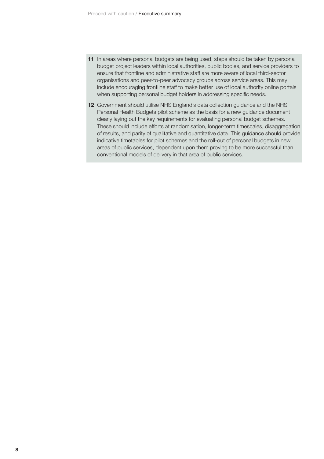- **11** In areas where personal budgets are being used, steps should be taken by personal budget project leaders within local authorities, public bodies, and service providers to ensure that frontline and administrative staff are more aware of local third-sector organisations and peer-to-peer advocacy groups across service areas. This may include encouraging frontline staff to make better use of local authority online portals when supporting personal budget holders in addressing specific needs.
- **12** Government should utilise NHS England's data collection guidance and the NHS Personal Health Budgets pilot scheme as the basis for a new guidance document clearly laying out the key requirements for evaluating personal budget schemes. These should include efforts at randomisation, longer-term timescales, disaggregation of results, and parity of qualitative and quantitative data. This guidance should provide indicative timetables for pilot schemes and the roll-out of personal budgets in new areas of public services, dependent upon them proving to be more successful than conventional models of delivery in that area of public services.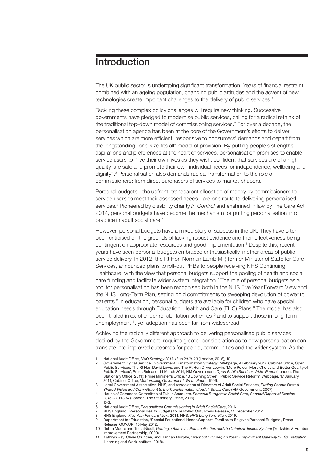# <span id="page-10-0"></span>Introduction

The UK public sector is undergoing significant transformation. Years of financial restraint, combined with an ageing population, changing public attitudes and the advent of new technologies create important challenges to the delivery of public services.<sup>1</sup>

Tackling these complex policy challenges will require new thinking. Successive governments have pledged to modernise public services, calling for a radical rethink of the traditional top-down model of commissioning services.<sup>2</sup> For over a decade, the personalisation agenda has been at the core of the Government's efforts to deliver services which are more efficient, responsive to consumers' demands and depart from the longstanding "one-size-fits all" model of provision. By putting people's strengths, aspirations and preferences at the heart of services, personalisation promises to enable service users to ''live their own lives as they wish, confident that services are of a high quality, are safe and promote their own individual needs for independence, wellbeing and dignity''.3 Personalisation also demands radical transformation to the role of commissioners: from direct purchasers of services to market-shapers.

Personal budgets - the upfront, transparent allocation of money by commissioners to service users to meet their assessed needs - are one route to delivering personalised services.4 Pioneered by disability charity *In Control* and enshrined in law by The Care Act 2014, personal budgets have become the mechanism for putting personalisation into practice in adult social care.5

However, personal budgets have a mixed story of success in the UK. They have often been criticised on the grounds of lacking robust evidence and their effectiveness being contingent on appropriate resources and good implementation.6 Despite this, recent years have seen personal budgets embraced enthusiastically in other areas of public service delivery. In 2012, the Rt Hon Norman Lamb MP, former Minister of State for Care Services, announced plans to roll-out PHBs to people receiving NHS Continuing Healthcare, with the view that personal budgets support the pooling of health and social care funding and facilitate wider system integration.<sup>7</sup> The role of personal budgets as a tool for personalisation has been recognised both in the NHS Five Year Forward View and the NHS Long-Term Plan, setting bold commitments to sweeping devolution of power to patients.<sup>8</sup> In education, personal budgets are available for children who have special education needs through Education, Health and Care (EHC) Plans.<sup>9</sup> The model has also been trialed in ex-offender rehabilitation schemes<sup>10</sup> and to support those in long-term unemployment<sup>11</sup>, yet adoption has been far from widespread.

Achieving the radically different approach to delivering personalised public services desired by the Government, requires greater consideration as to how personalisation can translate into improved outcomes for people, communities and the wider system. As the

7 NHS England, 'Personal Health Budgets to Be Rolled Out', Press Release, 11 December 2012.<br>8 NHS England *Five Year Forward View* 2014: NHS *NHS Long Term Plan*, 2019

<sup>1</sup> National Audit Office, *NAO Strategy 2017-18 to 2019-20* (London, 2016), 10.<br>2 Government Digital Service 'Government Transformation Strategy' Webpa

Government Digital Service, 'Government Transformation Strategy', Webpage, 9 February 2017; Cabinet Office, Open Public Services, The Rt Hon David Laws, and The Rt Hon Oliver Letwin, 'More Power, More Choice and Better Quality of Public Services', Press Release, 14 March 2014; HM Government, *Open Public Services White Paper* (London: The Stationary Office, 2011); Prime Minister's Office, 10 Downing Street, 'Public Service Reform', Webpage, 17 January 2011; Cabinet Office, *Modernising Government: White Paper*, 1999.

<sup>3</sup> Local Government Association, NHS, and Association of Directors of Adult Social Services, *Putting People First: A Shared Vision and Commitment to the Transformation of Adult Social Care* (HM Government, 2007).

<sup>4</sup> House of Commons Committee of Public Accounts, *Personal Budgets in Social Care, Second Report of Session 2016–17*, HC 74 (London: The Stationery Office, 2016).

<sup>5</sup> Ibid.

<sup>6</sup>  National Audit Office, *Personalised Commissioning in Adult Social Care*, 2016.

<sup>8</sup> NHS England, *Five Year Forward View*, 2014; NHS, *NHS Long Term Plan*, 2019.

<sup>9</sup> Department for Education, 'Special Educational Needs Support: Families to Be given Personal Budgets', Press Release, [GOV.UK,](http://GOV.UK) 15 May 2012.

<sup>10</sup> Debra Moore and Tricia Nicoll, *Getting a Blue Life: Personalisation and the Criminal Justice System* (Yorkshire & Humber Improvement Partnership, 2009).

<sup>11</sup> Kathryn Ray, Oliver Crunden, and Hannah Murphy, *Liverpool City Region Youth Employment Gateway (YEG) Evaluation* (Learning and Work Institute, 2018).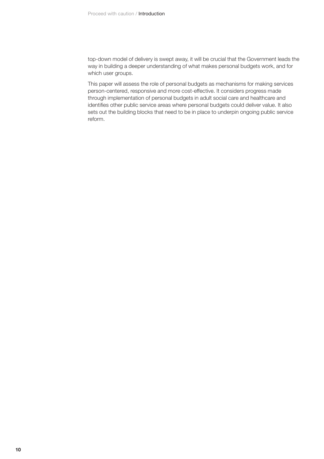top-down model of delivery is swept away, it will be crucial that the Government leads the way in building a deeper understanding of what makes personal budgets work, and for which user groups.

This paper will assess the role of personal budgets as mechanisms for making services person-centered, responsive and more cost-effective. It considers progress made through implementation of personal budgets in adult social care and healthcare and identifies other public service areas where personal budgets could deliver value. It also sets out the building blocks that need to be in place to underpin ongoing public service reform.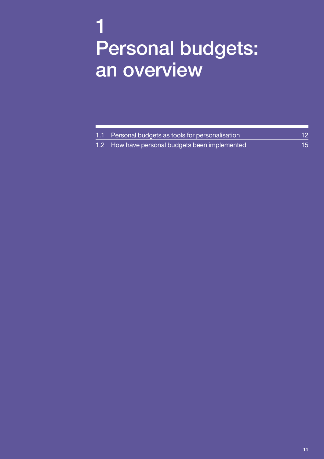# <span id="page-12-0"></span>1 Personal budgets: an overview

| 1.1 Personal budgets as tools for personalisation                | 12 <sup>°</sup> |
|------------------------------------------------------------------|-----------------|
| $\,$ 1.2 How have personal budgets been implemented $^{\dagger}$ | 15.             |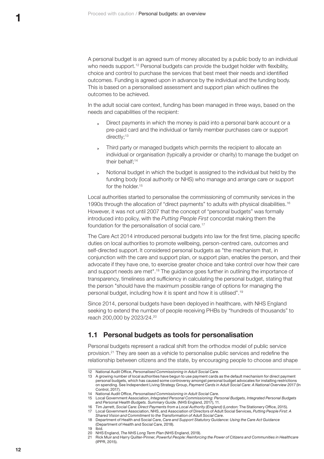<span id="page-13-0"></span>A personal budget is an agreed sum of money allocated by a public body to an individual who needs support.<sup>12</sup> Personal budgets can provide the budget holder with flexibility, choice and control to purchase the services that best meet their needs and identified outcomes. Funding is agreed upon in advance by the individual and the funding body. This is based on a personalised assessment and support plan which outlines the outcomes to be achieved.

In the adult social care context, funding has been managed in three ways, based on the needs and capabilities of the recipient:

- **<sup>&</sup>gt;** Direct payments in which the money is paid into a personal bank account or a pre-paid card and the individual or family member purchases care or support directly;<sup>13</sup>
- **<sup>&</sup>gt;** Third party or managed budgets which permits the recipient to allocate an individual or organisation (typically a provider or charity) to manage the budget on their behalf:<sup>14</sup>
- **<sup>&</sup>gt;** Notional budget in which the budget is assigned to the individual but held by the funding body (local authority or NHS) who manage and arrange care or support for the holder.<sup>15</sup>

Local authorities started to personalise the commissioning of community services in the 1990s through the allocation of "direct payments" to adults with physical disabilities.<sup>16</sup> However, it was not until 2007 that the concept of "personal budgets" was formally introduced into policy, with the *Putting People First* concordat making them the foundation for the personalisation of social care.<sup>17</sup>

The Care Act 2014 introduced personal budgets into law for the first time, placing specific duties on local authorities to promote wellbeing, person-centred care, outcomes and self-directed support. It considered personal budgets as "the mechanism that, in conjunction with the care and support plan, or support plan, enables the person, and their advocate if they have one, to exercise greater choice and take control over how their care and support needs are met".18 The guidance goes further in outlining the importance of transparency, timeliness and sufficiency in calculating the personal budget, stating that the person "should have the maximum possible range of options for managing the personal budget, including how it is spent and how it is utilised".<sup>19</sup>

Since 2014, personal budgets have been deployed in healthcare, with NHS England seeking to extend the number of people receiving PHBs by "hundreds of thousands" to reach 200,000 by 2023/24.20

# **1.1 Personal budgets as tools for personalisation**

Personal budgets represent a radical shift from the orthodox model of public service provision.21 They are seen as a vehicle to personalise public services and redefine the relationship between citizens and the state, by encouraging people to choose and shape

- 19 Ibid.
- 20 NHS England, *The NHS Long Term Plan* (NHS England, 2019).

<sup>12</sup> National Audit Office, *Personalised Commissioning in Adult Social Care*.

<sup>13</sup> A growing number of local authorities have begun to use payment cards as the default mechanism for direct payment personal budgets, which has caused some controversy amongst personal budget advocates for installing restrictions on spending. See Independent Living Strategy Group, *Payment Cards in Adult Social Care: A National Overview 2017* (In Control, 2017).

<sup>14</sup> National Audit Office, *Personalised Commissioning in Adult Social Care*.

<sup>15</sup> Local Government Association, *Integrated Personal Commissioning: Personal Budgets, Integrated Personal Budgets and Personal Health Budgets. Summary Guide.* (NHS England, 2017), 11.

<sup>16</sup> Tim Jarrett, *Social Care: Direct Payments from a Local Authority (England)* (London: The Stationery Office, 2015). 17 Local Government Association, NHS, and Association of Directors of Adult Social Services, *Putting People First: A Shared Vision and Commitment to the Transformation of Adult Social Care*.

<sup>18</sup> Department of Health and Social Care, *Care and Support Statutory Guidance: Using the Care Act Guidance* (Department of Health and Social Care, 2018).

<sup>21</sup> Rick Muir and Harry Quilter-Pinner, *Powerful People: Reinforcing the Power of Citizens and Communities in Healthcare* (IPPR, 2015).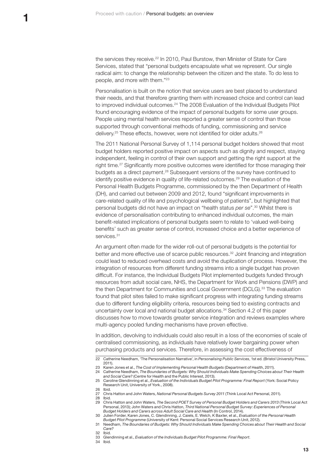the services they receive.22 In 2010, Paul Burstow, then Minister of State for Care Services, stated that "personal budgets encapsulate what we represent. Our single radical aim: to change the relationship between the citizen and the state. To do less to people, and more with them."<sup>23</sup>

Personalisation is built on the notion that service users are best placed to understand their needs, and that therefore granting them with increased choice and control can lead to improved individual outcomes.<sup>24</sup> The 2008 Evaluation of the Individual Budgets Pilot found encouraging evidence of the impact of personal budgets for some user groups. People using mental health services reported a greater sense of control than those supported through conventional methods of funding, commissioning and service delivery.<sup>25</sup> These effects, however, were not identified for older adults.<sup>26</sup>

The 2011 National Personal Survey of 1,114 personal budget holders showed that most budget holders reported positive impact on aspects such as dignity and respect, staying independent, feeling in control of their own support and getting the right support at the right time.<sup>27</sup> Significantly more positive outcomes were identified for those managing their budgets as a direct payment.28 Subsequent versions of the survey have continued to identify positive evidence in quality of life-related outcomes.<sup>29</sup> The evaluation of the Personal Health Budgets Programme, commissioned by the then Department of Health (DH), and carried out between 2009 and 2012, found "significant improvements in care-related quality of life and psychological wellbeing of patients", but highlighted that personal budgets did not have an impact on "health status *per se*".30 Whilst there is evidence of personalisation contributing to enhanced individual outcomes, the main benefit-related implications of personal budgets seem to relate to 'valued well-being benefits' such as greater sense of control, increased choice and a better experience of services.<sup>31</sup>

An argument often made for the wider roll-out of personal budgets is the potential for better and more effective use of scarce public resources.<sup>32</sup> Joint financing and integration could lead to reduced overhead costs and avoid the duplication of process. However, the integration of resources from different funding streams into a single budget has proven difficult. For instance, the Individual Budgets Pilot implemented budgets funded through resources from adult social care, NHS, the Department for Work and Pensions (DWP) and the then Department for Communities and Local Government (DCLG).<sup>33</sup> The evaluation found that pilot sites failed to make significant progress with integrating funding streams due to different funding eligibility criteria, resources being tied to existing contracts and uncertainty over local and national budget allocations.34 Section 4.2 of this paper discusses how to move towards greater service integration and reviews examples where multi-agency pooled funding mechanisms have proven effective.

In addition, devolving to individuals could also result in a loss of the economies of scale of centralised commissioning, as individuals have relatively lower bargaining power when purchasing products and services. Therefore, in assessing the cost effectiveness of

<sup>22</sup> Catherine Needham, 'The Personalisation Narrative', in *Personalising Public Services*, 1st ed. (Bristol University Press, 2011).

<sup>23</sup> Karen Jones et al., *The Cost of Implementing Personal Health Budgets* (Department of Health, 2011).

<sup>24</sup> Catherine Needham, *The Boundaries of Budgets: Why Should Individuals Make Spending Choices about Their Health and Social Care?* (Centre for Health and the Public Interest, 2013).

<sup>25</sup> Caroline Glendinning et al., *Evaluation of the Individuals Budget Pilot Programme: Final Report* (York: Social Policy Research Unit, University of York., 2008). 26 Ibid.

<sup>27</sup> Chris Hatton and John Waters, *National Personal Budgets Survey 2011* (Think Local Act Personal, 2011). 28 Ibid.

<sup>29</sup> Chris Hatton and John Waters, *The Second POET Survey of Personal Budget Holders and Carers 2013* (Think Local Act Personal, 2013); John Waters and Chris Hatton, *Third National Personal Budget Survey: Experiences of Personal Budget Holders and Carers across Adult Social Care and Health* (In Control, 2014).

<sup>30</sup> Julien Forder, Karen Jones, C. Glendinning, J. Caiels, E. Welch, K Baxter, et al., *Evaluation of the Personal Health* 

*Budget Pilot Programme* (University of Kent: Personal Social Services Research Unit, 2012). 31 Needham, *The Boundaries of Budgets: Why Should Individuals Make Spending Choices about Their Health and Social Care?*

<sup>32</sup> Ibid.<br>33 Gler

<sup>33</sup> Glendinning et al., *Evaluation of the Individuals Budget Pilot Programme: Final Report*.

<sup>34</sup> Ibid.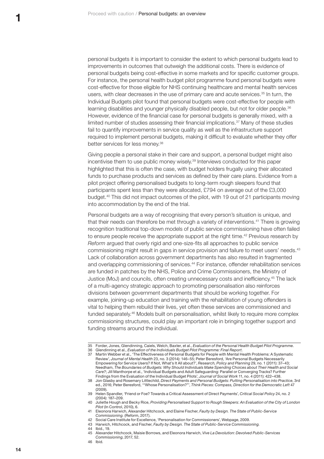personal budgets it is important to consider the extent to which personal budgets lead to improvements in outcomes that outweigh the additional costs. There is evidence of personal budgets being cost-effective in some markets and for specific customer groups. For instance, the personal health budget pilot programme found personal budgets were cost-effective for those eligible for NHS continuing healthcare and mental health services users, with clear decreases in the use of primary care and acute services.35 In turn, the Individual Budgets pilot found that personal budgets were cost-effective for people with learning disabilities and younger physically disabled people, but not for older people.<sup>36</sup> However, evidence of the financial case for personal budgets is generally mixed, with a limited number of studies assessing their financial implications.37 Many of these studies fail to quantify improvements in service quality as well as the infrastructure support required to implement personal budgets, making it difficult to evaluate whether they offer better services for less money.<sup>38</sup>

Giving people a personal stake in their care and support, a personal budget might also incentivise them to use public money wisely.39 Interviews conducted for this paper highlighted that this is often the case, with budget holders frugally using their allocated funds to purchase products and services as defined by their care plans. Evidence from a pilot project offering personalised budgets to long-term rough sleepers found that participants spent less than they were allocated, £794 on average out of the £3,000 budget.40 This did not impact outcomes of the pilot, with 19 out of 21 participants moving into accommodation by the end of the trial.

Personal budgets are a way of recognising that every person's situation is unique, and that their needs can therefore be met through a variety of interventions.41 There is growing recognition traditional top-down models of public service commissioning have often failed to ensure people receive the appropriate support at the right time.<sup>42</sup> Previous research by *Reform* argued that overly rigid and one-size-fits all approaches to public service commissioning might result in gaps in service provision and failure to meet users' needs.43 Lack of collaboration across government departments has also resulted in fragmented and overlapping commissioning of services.44 For instance, offender rehabilitation services are funded in patches by the NHS, Police and Crime Commissioners, the Ministry of Justice (MoJ) and councils, often creating unnecessary costs and inefficiency.45 The lack of a multi-agency strategic approach to promoting personalisation also reinforces divisions between government departments that should be working together. For example, joining-up education and training with the rehabilitation of young offenders is vital to helping them rebuild their lives, yet often these services are commissioned and funded separately.46 Models built on personalisation, whilst likely to require more complex commissioning structures, could play an important role in bringing together support and funding streams around the individual.

- 44 Ibid., 19.<br>45 Alexand 45 Alexander Hitchcock, Maisie Borrows, and Eleonora Harwich, *Vive La Devolution: Devolved Public-Services Commissioning*, 2017, 52.
- 46 Ibid.

<sup>35</sup> Forder, Jones, Glendinning, Caiels, Welch, Baxter, et al., *Evaluation of the Personal Health Budget Pilot Programme*.

<sup>36</sup> Glendinning et al., *Evaluation of the Individuals Budget Pilot Programme: Final Report*. 37 Martin Webber et al., 'The Effectiveness of Personal Budgets for People with Mental Health Problems: A Systematic Review', *Journal of Mental Health* 23, no. 3 (2014): 146–55; Peter Beresford, 'Are Personal Budgets Necessarily Empowering for Service Users? If Not, What's It All about?', *Research, Policy and Planning* 29, no. 1 (2011): 37–43; Needham, *The Boundaries of Budgets: Why Should Individuals Make Spending Choices about Their Health and Social Care?*; Jill Manthorpe et al., 'Individual Budgets and Adult Safeguarding: Parallel or Converging Tracks? Further

Findings from the Evaluation of the Individual Budget Pilots', *Journal of Social Work* 11, no. 4 (2011): 422–438. 38 Jon Glasby and Rosemary Littlechild, *Direct Payments and Personal Budgets: Putting Personalisation into Practice*, 3rd ed., 2016; Peter Beresford, '"Whose Personalisation?"', *Think Pieces: Compass, Direction for the Democratic Left* 47 (2009).

<sup>39</sup> Helen Spandler, 'Friend or Foe? Towards a Critical Assessment of Direct Payments', *Critical Social Policy* 24, no. 2 (2004): 187–209.

<sup>40</sup> Juliette Hough and Becky Rice, *Providing Personalised Support to Rough Sleepers: An Evaluation of the City of London Pilot* (In Control, 2010), 6.

<sup>41</sup> Eleonora Harwich, Alexander Hitchcock, and Elaine Fischer, *Faulty by Design. The State of Public-Service Commissioning.* (Reform, 2017).

<sup>42</sup> Social Care Institute for Excellence, 'Personalisation for Commissioners', Webpage, 2009. 43 Harwich, Hitchcock, and Fischer, *Faulty by Design. The State of Public-Service Commissioning.*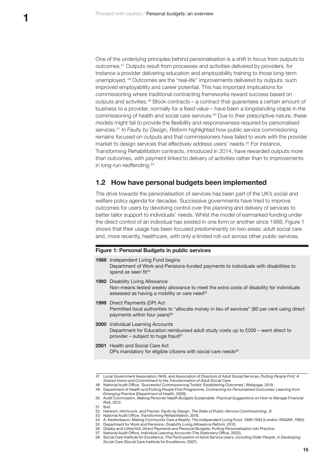<span id="page-16-0"></span>One of the underlying principles behind personalisation is a shift in focus from outputs to outcomes.47 Outputs result from processes and activities delivered by providers, for instance a provider delivering education and employability training to those long-term unemployed. <sup>48</sup> Outcomes are the "real-life" improvements delivered by outputs, such improved employability and career potential. This has important implications for commissioning where traditional contracting frameworks reward success based on outputs and activities.49 Block contracts – a contract that guarantees a certain amount of business to a provider, normally for a fixed value – have been a longstanding staple in the commissioning of health and social care services.50 Due to their prescriptive nature, these models might fail to provide the flexibility and responsiveness required by personalised services.51 In *Faulty by Design, Reform* highlighted how public service commissioning remains focused on outputs and that commissioners have failed to work with the provider market to design services that effectively address users' needs.<sup>52</sup> For instance, Transforming Rehabilitation contracts, introduced in 2014, have rewarded outputs more than outcomes, with payment linked to delivery of activities rather than to improvements in long-run reoffending.<sup>53</sup>

### **1.2 How have personal budgets been implemented**

The drive towards the personalisation of services has been part of the UK's social and welfare policy agenda for decades. Successive governments have tried to improve outcomes for users by devolving control over the planning and delivery of services to better tailor support to individuals' needs. Whilst the model of earmarked funding under the direct control of an individual has existed in one form or another since 1988, Figure 1 shows that their usage has been focused predominantly on two areas: adult social care and, more recently, healthcare, with only a limited roll-out across other public services.

#### <span id="page-16-1"></span>**Figure 1: Personal Budgets in public services**

| 1988 Independent Living Fund begins<br>Department of Work and Pensions-funded payments to individuals with disabilities to<br>spend as seen fit <sup>54</sup>                                  |
|------------------------------------------------------------------------------------------------------------------------------------------------------------------------------------------------|
| <b>1992</b> Disability Living Allowance<br>Non-means tested weekly allowance to meet the extra costs of disability for individuals<br>assessed as having a mobility or care need <sup>55</sup> |
| <b>1996</b> Direct Payments (DP) Act<br>Permitted local authorities to "allocate money in lieu of services" (80 per cent using direct<br>payments within four years) <sup>56</sup>             |
| 2000 Individual Learning Accounts<br>Department for Education reimbursed adult study costs up to £200 – went direct to<br>provider – subject to huge fraud <sup>57</sup>                       |
| <b>2001</b> Health and Social Care Act<br>DPs mandatory for eligible citizens with social care needs <sup>58</sup>                                                                             |
|                                                                                                                                                                                                |

<sup>47</sup> Local Government Association, NHS, and Association of Directors of Adult Social Services, *Putting People First: A Shared Vision and Commitment to the Transformation of Adult Social Care*.

51 Ibid.<br>52 Ham

53 National Audit Office, *Transforming Rehabilitation*, 2016.

<sup>48</sup> National Audit Office, 'Successful Commissioning Toolkit: Establishing Outcomes', Webpage, 2019.

<sup>49</sup> Department of Health and Putting People First Programme, *Contracting for Personalised Outcomes: Learning from Emerging Practice* (Department of Health, 2009).

<sup>50</sup> Audit Commission, *Making Personal Health Budgets Sustainable. Practical Suggestions on How to Manage Financial Risk*, 2012.

<sup>52</sup> Harwich, Hitchcock, and Fischer, *Faulty by Design. The State of Public-Service Commissioning.*, 9.

<sup>54</sup> A. Kestenbaum, *Making Community Care a Reality: The Independent Living Fund, 1988-1993* (London: RADAR, 1993).

<sup>55</sup> Department for Work and Pensions, *Disability Living Allowance Reform*, 2010.

<sup>56</sup> Glasby and Littlechild, *Direct Payments and Personal Budgets: Putting Personalisation into Practice*. 57 National Audit Office, *Individual Learning Accounts* (The Stationery Office, 2002).

<sup>58</sup> Social Care Institute for Excellence, *The Participation of Adult Service Users, Including Older People, in Developing Social Care* (Social Care Institute for Excellence, 2007).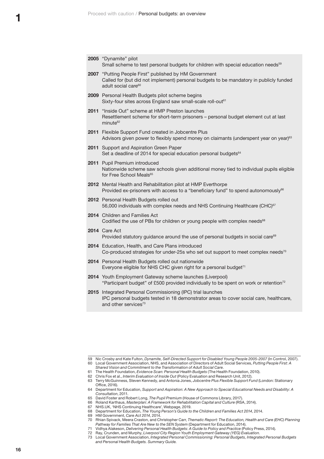|  | 2005 "Dynamite" pilot<br>Small scheme to test personal budgets for children with special education needs <sup>59</sup>                                                                    |
|--|-------------------------------------------------------------------------------------------------------------------------------------------------------------------------------------------|
|  | 2007 "Putting People First" published by HM Government<br>Called for (but did not implement) personal budgets to be mandatory in publicly funded<br>adult social care <sup>60</sup>       |
|  | 2009 Personal Health Budgets pilot scheme begins<br>Sixty-four sites across England saw small-scale roll-out <sup>61</sup>                                                                |
|  | 2011 "Inside Out" scheme at HMP Preston launches<br>Resettlement scheme for short-term prisoners - personal budget element cut at last<br>minute <sup>62</sup>                            |
|  | 2011 Flexible Support Fund created in Jobcentre Plus<br>Advisors given power to flexibly spend money on claimants (underspent year on year) <sup>63</sup>                                 |
|  | 2011 Support and Aspiration Green Paper<br>Set a deadline of 2014 for special education personal budgets <sup>64</sup>                                                                    |
|  | 2011 Pupil Premium introduced<br>Nationwide scheme saw schools given additional money tied to individual pupils eligible<br>for Free School Meals <sup>65</sup>                           |
|  | 2012 Mental Health and Rehabilitation pilot at HMP Everthorpe<br>Provided ex-prisoners with access to a "beneficiary fund" to spend autonomously <sup>66</sup>                            |
|  | 2012 Personal Health Budgets rolled out<br>56,000 individuals with complex needs and NHS Continuing Healthcare (CHC) <sup>67</sup>                                                        |
|  | 2014 Children and Families Act<br>Codified the use of PBs for children or young people with complex needs <sup>68</sup>                                                                   |
|  | 2014 Care Act<br>Provided statutory guidance around the use of personal budgets in social care <sup>69</sup>                                                                              |
|  | 2014 Education, Health, and Care Plans introduced<br>Co-produced strategies for under-25s who set out support to meet complex needs <sup>70</sup>                                         |
|  | 2014 Personal Health Budgets rolled out nationwide<br>Everyone eligible for NHS CHC given right for a personal budget <sup>71</sup>                                                       |
|  | 2014 Youth Employment Gateway scheme launches (Liverpool)<br>"Participant budget" of £500 provided individually to be spent on work or retention <sup>72</sup>                            |
|  | 2015 Integrated Personal Commissioning (IPC) trial launches<br>IPC personal budgets tested in 18 demonstrator areas to cover social care, healthcare,<br>and other services <sup>73</sup> |
|  |                                                                                                                                                                                           |

<sup>59</sup> Nic Crosby and Kate Fulton, *Dynamite, Self-Directed Support for Disabled Young People 2005-2007* (In Control, 2007). 60 Local Government Association, NHS, and Association of Directors of Adult Social Services, *Putting People First: A Shared Vision and Commitment to the Transformation of Adult Social Care*.

<sup>61</sup> The Health Foundation, *Evidence Scan: Personal Health Budgets* (The Health Foundation, 2010).

<sup>62</sup> Chris Fox et al., *Interim Evaluation of Inside Out* (Policy Evaluation and Research Unit, 2012). 63 Terry McGuinness, Steven Kennedy, and Antonia Jones, *Jobcentre Plus Flexible Support Fund* (London: Stationary Office, 2016).

<sup>64</sup> Department for Education, *Support and Aspiration: A New Approach to Special Educational Needs and Disability: A Consultation*, 2011.

<sup>65</sup> David Foster and Robert Long, *The Pupil Premium* (House of Commons Library, 2017).

<sup>66</sup> Roland Karthaus, *Masterplan: A Framework for Rehabilitation Capital and Culture* (RSA, 2014).<br>67 NHS.UK, 'NHS Continuing Healthcare', Webpage, 2019.

<sup>67</sup> [NHS.UK,](http://NHS.UK) 'NHS Continuing Healthcare', Webpage, 2019.

<sup>68</sup> Department for Education, *The Young Person's Guide to the Children and Families Act 2014*, 2014.

<sup>69</sup> HM Government, *Care Act 2014*, 2014.

<sup>70</sup> Rhian Spivack, Meera Craston, and Christopher Carr, *Thematic Report: The Education, Health and Care (EHC) Planning Pathway for Families That Are New to the SEN System* (Department for Education, 2014).

<sup>71</sup> Vidhya Alakeson, *Delivering Personal Health Budgets: A Guide to Policy and Practice* (Policy Press, 2014).

<sup>72</sup> Ray, Crunden, and Murphy, *Liverpool City Region Youth Employment Gateway (YEG) Evaluation*. 73 Local Government Association, *Integrated Personal Commissioning: Personal Budgets, Integrated Personal Budgets and Personal Health Budgets. Summary Guide.*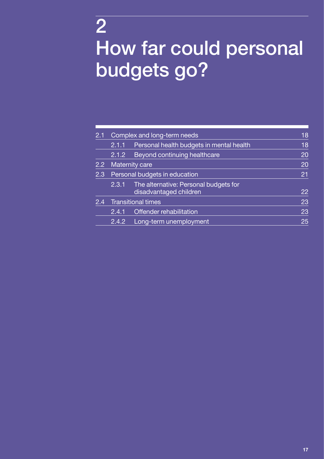# <span id="page-18-0"></span>2 How far could personal budgets go?

| 2.1              | Complex and long-term needs   |                                                                 | 18 |
|------------------|-------------------------------|-----------------------------------------------------------------|----|
|                  | 2.1.1                         | Personal health budgets in mental health                        | 18 |
|                  | 2.1.2                         | <b>Beyond continuing healthcare</b>                             | 20 |
| $2.2\phantom{0}$ | <b>Maternity care</b>         |                                                                 | 20 |
| 2.3              | Personal budgets in education |                                                                 | 21 |
|                  | 2.3.1                         | The alternative: Personal budgets for<br>disadvantaged children | 22 |
| 2.4              | Transitional times            |                                                                 | 23 |
|                  | 2.4.1                         | Offender rehabilitation                                         | 23 |
|                  | 2.4.2                         | Long-term unemployment                                          | 25 |
|                  |                               |                                                                 |    |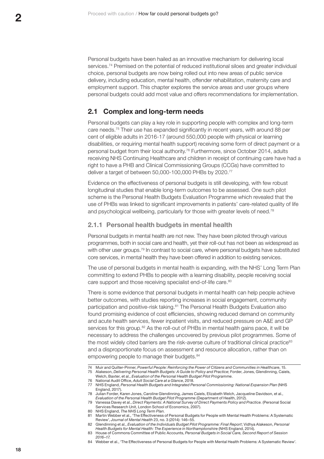<span id="page-19-0"></span>Personal budgets have been hailed as an innovative mechanism for delivering local services.<sup>74</sup> Premised on the potential of reduced institutional siloes and greater individual choice, personal budgets are now being rolled out into new areas of public service delivery, including education, mental health, offender rehabilitation, maternity care and employment support. This chapter explores the service areas and user groups where personal budgets could add most value and offers recommendations for implementation.

# **2.1 Complex and long-term needs**

Personal budgets can play a key role in supporting people with complex and long-term care needs.75 Their use has expanded significantly in recent years, with around 88 per cent of eligible adults in 2016-17 (around 550,000 people with physical or learning disabilities, or requiring mental health support) receiving some form of direct payment or a personal budget from their local authority.76 Furthermore, since October 2014, adults receiving NHS Continuing Healthcare and children in receipt of continuing care have had a right to have a PHB and Clinical Commissioning Groups (CCGs) have committed to deliver a target of between 50,000-100,000 PHBs by 2020.77

Evidence on the effectiveness of personal budgets is still developing, with few robust longitudinal studies that enable long-term outcomes to be assessed. One such pilot scheme is the Personal Health Budgets Evaluation Programme which revealed that the use of PHBs was linked to significant improvements in patients' care-related quality of life and psychological wellbeing, particularly for those with greater levels of need.<sup>78</sup>

#### **2.1.1 Personal health budgets in mental health**

Personal budgets in mental health are not new. They have been piloted through various programmes, both in social care and health, yet their roll-out has not been as widespread as with other user groups.<sup>79</sup> In contrast to social care, where personal budgets have substituted core services, in mental health they have been offered in addition to existing services.

The use of personal budgets in mental health is expanding, with the NHS' Long Term Plan committing to extend PHBs to people with a learning disability, people receiving social care support and those receiving specialist end-of-life care.<sup>80</sup>

There is some evidence that personal budgets in mental health can help people achieve better outcomes, with studies reporting increases in social engagement, community participation and positive-risk taking.<sup>81</sup> The Personal Health Budgets Evaluation also found promising evidence of cost efficiencies, showing reduced demand on community and acute health services, fewer inpatient visits, and reduced pressure on A&E and GP services for this group.<sup>82</sup> As the roll-out of PHBs in mental health gains pace, it will be necessary to address the challenges uncovered by previous pilot programmes. Some of the most widely cited barriers are the risk-averse culture of traditional clinical practice<sup>83</sup> and a disproportionate focus on assessment and resource allocation, rather than on empowering people to manage their budgets.<sup>84</sup>

- 83 House of Commons Committee of Public Accounts, *Personal Budgets in Social Care, Second Report of Session 2016–17*.
- 84 Webber et al., 'The Effectiveness of Personal Budgets for People with Mental Health Problems: A Systematic Review'.

<sup>74</sup> Muir and Quilter-Pinner, *Powerful People: Reinforcing the Power of Citizens and Communities in Healthcare*, 15. 75 Alakeson, *Delivering Personal Health Budgets: A Guide to Policy and Practice*; Forder, Jones, Glendinning, Caiels,

Welch, Baxter, et al., *Evaluation of the Personal Health Budget Pilot Programme*. 76 National Audit Office, *Adult Social Care at a Glance*, 2018.

<sup>77</sup> NHS England, *Personal Health Budgets and Integrated Personal Commissioning: National Expansion Plan* (NHS England, 2017).

<sup>78</sup> Julian Forder, Karen Jones, Caroline Glendinning, James Caiels, Elizabeth Welch, Jacqueline Davidson, et al., *Evaluation of the Personal Health Budget Pilot Programme* (Department of Health, 2012).

<sup>79</sup> Vanessa Davey et al., *Direct Payments: A National Survey of Direct Payments Policy and Practice.* (Personal Social Services Research Unit, London School of Economics, 2007).

<sup>80</sup> NHS England, *The NHS Long Term Plan*.

<sup>81</sup> Martin Webber et al., 'The Effectiveness of Personal Budgets for People with Mental Health Problems: A Systematic Review', *Journal of Mental Health* 23, no. 3 (2014): 146–55.

<sup>82</sup> Glendinning et al., *Evaluation of the Individuals Budget Pilot Programme: Final Report*; Vidhya Alakeson, *Personal Health Budgets for Mental Health: The Experience in Northamptonshire* (NHS England, 2014).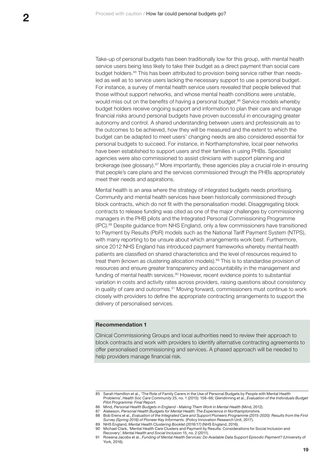Take-up of personal budgets has been traditionally low for this group, with mental health service users being less likely to take their budget as a direct payment than social care budget holders.85 This has been attributed to provision being service rather than needsled as well as to service users lacking the necessary support to use a personal budget. For instance, a survey of mental health service users revealed that people believed that those without support networks, and whose mental health conditions were unstable, would miss out on the benefits of having a personal budget.<sup>86</sup> Service models whereby budget holders receive ongoing support and information to plan their care and manage financial risks around personal budgets have proven successful in encouraging greater autonomy and control. A shared understanding between users and professionals as to the outcomes to be achieved, how they will be measured and the extent to which the budget can be adapted to meet users' changing needs are also considered essential for personal budgets to succeed. For instance, in Northamptonshire, local peer networks have been established to support users and their families in using PHBs. Specialist agencies were also commissioned to assist clinicians with support planning and brokerage (see glossary).<sup>87</sup> More importantly, these agencies play a crucial role in ensuring that people's care plans and the services commissioned through the PHBs appropriately meet their needs and aspirations.

Mental health is an area where the strategy of integrated budgets needs prioritising. Community and mental health services have been historically commissioned through block contracts, which do not fit with the personalisation model. Disaggregating block contracts to release funding was cited as one of the major challenges by commissioning managers in the PHB pilots and the Integrated Personal Commissioning Programme (IPC).88 Despite guidance from NHS England, only a few commissioners have transitioned to Payment by Results (PbR) models such as the National Tariff Payment System (NTPS), with many reporting to be unsure about which arrangements work best. Furthermore, since 2012 NHS England has introduced payment frameworks whereby mental health patients are classified on shared characteristics and the level of resources required to treat them (known as clustering allocation models).89 This is to standardise provision of resources and ensure greater transparency and accountability in the management and funding of mental health services.<sup>90</sup> However, recent evidence points to substantial variation in costs and activity rates across providers, raising questions about consistency in quality of care and outcomes.<sup>91</sup> Moving forward, commissioners must continue to work closely with providers to define the appropriate contracting arrangements to support the delivery of personalised services.

#### **Recommendation 1**

Clinical Commissioning Groups and local authorities need to review their approach to block contracts and work with providers to identify alternative contracting agreements to offer personalised commissioning and services. A phased approach will be needed to help providers manage financial risk.

<sup>85</sup> Sarah Hamilton et al., 'The Role of Family Carers in the Use of Personal Budgets by People with Mental Health Problems', *Health Soc Care Community* 25, no. 1 (2015): 158–66; Glendinning et al., *Evaluation of the Individuals Budget Pilot Programme: Final Report*.

<sup>86</sup> Mind, *Personal Health Budgets in England - Making Them Work in Mental Health* (Mind, 2012).

<sup>87</sup> Alakeson, *Personal Health Budgets for Mental Health: The Experience in Northamptonshire*.

<sup>88</sup> Bob Erens et al., *Evaluation of the Integrated Care and Support Pioneers Programme (2015-2020): Results from the First Survey (Spring 2016) of Pioneer Key Informants.* (Policy Innovation Research Unit, 2017).

<sup>89</sup> NHS England, *Mental Health Clustering Booklet (2016/17)* (NHS England, 2016).

<sup>90</sup> Michael Clark, 'Mental Health Care Clusters and Payment by Results: Considerations for Social Inclusion and Recovery', *Mental Health and Social Inclusion* 15, no. 2 (2011).

<sup>91</sup> Rowena Jacobs et al., *Funding of Mental Health Services: Do Available Data Support Episodic Payment?* (University of York, 2016).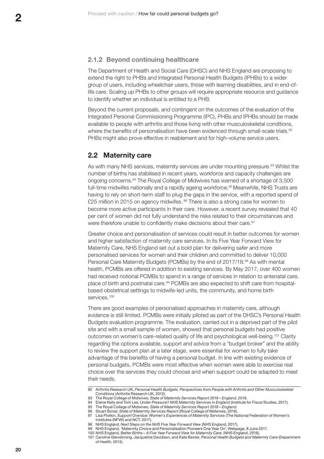# <span id="page-21-0"></span>**2.1.2 Beyond continuing healthcare**

The Department of Health and Social Care (DHSC) and NHS England are proposing to extend the right to PHBs and Integrated Personal Health Budgets (IPHBs) to a wider group of users, including wheelchair users, those with learning disabilities, and in end-oflife care. Scaling up PHBs to other groups will require appropriate resource and guidance to identify whether an individual is entitled to a PHB.

Beyond the current proposals, and contingent on the outcomes of the evaluation of the Integrated Personal Commissioning Programme (IPC), PHBs and IPHBs should be made available to people with arthritis and those living with other musculoskeletal conditions, where the benefits of personalisation have been evidenced through small-scale trials.<sup>92</sup> PHBs might also prove effective in reablement and for high-volume service users.

# **2.2 Maternity care**

As with many NHS services, maternity services are under mounting pressure.<sup>93</sup> Whilst the number of births has stabilised in recent years, workforce and capacity challenges are ongoing concerns.94 The Royal College of Midwives has warned of a shortage of 3,500 full-time midwifes nationally and a rapidly ageing workforce.<sup>95</sup> Meanwhile, NHS Trusts are having to rely on short-term staff to plug the gaps in the service, with a reported spend of £25 million in 2015 on agency midwifes. <sup>96</sup> There is also a strong case for women to become more active participants in their care. However, a recent survey revealed that 40 per cent of women did not fully understand the risks related to their circumstances and were therefore unable to confidently make decisions about their care.<sup>97</sup>

Greater choice and personalisation of services could result in better outcomes for women and higher satisfaction of maternity care services. In its Five Year Forward View for Maternity Care, NHS England set out a bold plan for delivering safer and more personalised services for women and their children and committed to deliver 10,000 Personal Care Maternity Budgets (PCMBs) by the end of 2017/18.98 As with mental health, PCMBs are offered in addition to existing services. By May 2017, over 400 women had received notional PCMBs to spend in a range of services in relation to antenatal care, place of birth and postnatal care.99 PCMBs are also expected to shift care from hospitalbased obstetrical settings to midwife-led units, the community, and home birth services.<sup>100</sup>

There are good examples of personalised approaches in maternity care, although evidence is still limited. PCMBs were initially piloted as part of the DHSC's Personal Health Budgets evaluation programme. The evaluation, carried out in a deprived part of the pilot site and with a small sample of women, showed that personal budgets had positive outcomes on women's care-related quality of life and psychological well-being.<sup>101</sup> Clarity regarding the options available, support and advice from a "budget broker" and the ability to review the support plan at a later stage, were essential for women to fully take advantage of the benefits of having a personal budget. In line with existing evidence of personal budgets, PCMBs were most effective when women were able to exercise real choice over the services they could choose and when support could be adapted to meet their needs.

<sup>92</sup> Arthritis Research UK, *Personal Health Budgets. Perspectives from People with Arthritis and Other Musculoskeletal Conditions* (Arthritis Research UK, 2012).

<sup>93</sup> The Royal College of Midwives, *State of Maternity Services Report 2018 – England*, 2018.

<sup>94</sup> Elaine Kelly and Tom Lee, *Under Pressure? NHS Maternity Services in England* (Institute for Fiscal Studies, 2017). 95 The Royal College of Midwives, *State of Maternity Services Report 2018 – England*.

<sup>96</sup> Stuart Bonar, *State of Maternity Services Report* (Royal College of Midwives, 2016).

<sup>97</sup> Lisa Plotkin, *Support Overdue: Women's Experiences of Maternity Services* (The National Federation of Women's Institutes (NFWI) and NCT, 2017).

<sup>98</sup> NHS England, *Next Steps on the NHS Five Year Forward View* (NHS England, 2017).

<sup>99</sup> NHS England, 'Maternity Choice and Personalisation Pioneers One Year On', Webpage, 8 June 2017.

<sup>100</sup> NHS England, *Better Births – A Five Year Forward View for Maternity Care.* (NHS England, 2016).

<sup>101</sup> Caroline Glendinning, Jacqueline Davidson, and Kate Baxter, *Personal Health Budgets and Maternity Care* (Department of Health, 2013).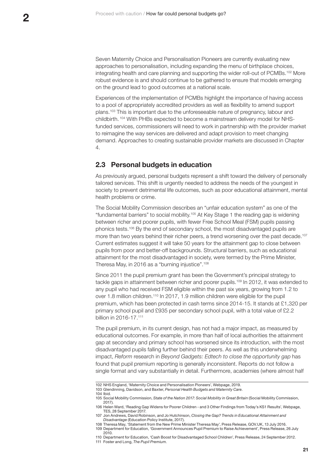<span id="page-22-0"></span>Seven Maternity Choice and Personalisation Pioneers are currently evaluating new approaches to personalisation, including expanding the menu of birthplace choices, integrating health and care planning and supporting the wider roll-out of PCMBs.102 More robust evidence is and should continue to be gathered to ensure that models emerging on the ground lead to good outcomes at a national scale.

Experiences of the implementation of PCMBs highlight the importance of having access to a pool of appropriately accredited providers as well as flexibility to amend support plans.103 This is important due to the unforeseeable nature of pregnancy, labour and childbirth. 104 With PHBs expected to become a mainstream delivery model for NHSfunded services, commissioners will need to work in partnership with the provider market to reimagine the way services are delivered and adapt provision to meet changing demand. Approaches to creating sustainable provider markets are discussed in Chapter 4.

# **2.3 Personal budgets in education**

As previously argued, personal budgets represent a shift toward the delivery of personally tailored services. This shift is urgently needed to address the needs of the youngest in society to prevent detrimental life outcomes, such as poor educational attainment, mental health problems or crime.

The Social Mobility Commission describes an "unfair education system" as one of the "fundamental barriers" to social mobility.105 At Key Stage 1 the reading gap is widening between richer and poorer pupils, with fewer Free School Meal (FSM) pupils passing phonics tests.106 By the end of secondary school, the most disadvantaged pupils are more than two years behind their richer peers, a trend worsening over the past decade.<sup>107</sup> Current estimates suggest it will take 50 years for the attainment gap to close between pupils from poor and better-off backgrounds. Structural barriers, such as educational attainment for the most disadvantaged in society, were termed by the Prime Minister, Theresa May, in 2016 as a "burning injustice".<sup>108</sup>

Since 2011 the pupil premium grant has been the Government's principal strategy to tackle gaps in attainment between richer and poorer pupils.<sup>109</sup> In 2012, it was extended to any pupil who had received FSM eligible within the past six years, growing from 1.2 to over 1.8 million children.110 In 2017, 1.9 million children were eligible for the pupil premium, which has been protected in cash terms since 2014-15. It stands at £1,320 per primary school pupil and £935 per secondary school pupil, with a total value of £2.2 billion in 2016-17.111

The pupil premium, in its current design, has not had a major impact, as measured by educational outcomes. For example, in more than half of local authorities the attainment gap at secondary and primary school has worsened since its introduction, with the most disadvantaged pupils falling further behind their peers. As well as this underwhelming impact, *Reform* research in *Beyond Gadgets: Edtech to close the opportunity gap* has found that pupil premium reporting is generally inconsistent. Reports do not follow a single format and vary substantially in detail. Furthermore, academies (where almost half

110 Department for Education, 'Cash Boost for Disadvantaged School Children', Press Release, 24 September 2012.

<sup>102</sup> NHS England, 'Maternity Choice and Personalisation Pioneers', Webpage, 2019.

<sup>103</sup> Glendinning, Davidson, and Baxter, *Personal Health Budgets and Maternity Care*.

<sup>104</sup> Ibid.

<sup>105</sup> Social Mobility Commission, *State of the Nation 2017: Social Mobility in Great Britain* (Social Mobility Commission, 2017).

<sup>106</sup> Helen Ward, 'Reading Gap Widens for Poorer Children - and 3 Other Findings from Today's KS1 Results', Webpage, TES, 28 September 2017.

<sup>107</sup> Jon Andrews, David Robinson, and Jo Hutchinson, *Closing the Gap? Trends in Educational Attainment and Disadvantage* (Education Policy Institute, 2017).

<sup>108</sup> Theresa May, 'Statement from the New Prime Minister Theresa May', Press Release, [GOV.UK,](http://GOV.UK) 13 July 2016. 109 Department for Education, 'Government Announces Pupil Premium to Raise Achievement', Press Release, 26 July 2010.

<sup>111</sup> Foster and Long, *The Pupil Premium*.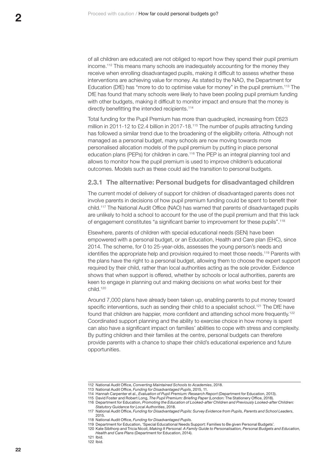<span id="page-23-0"></span>of all children are educated) are not obliged to report how they spend their pupil premium income.112 This means many schools are inadequately accounting for the money they receive when enrolling disadvantaged pupils, making it difficult to assess whether these interventions are achieving value for money. As stated by the NAO, the Department for Education (DfE) has "more to do to optimise value for money" in the pupil premium.113 The DfE has found that many schools were likely to have been pooling pupil premium funding with other budgets, making it difficult to monitor impact and ensure that the money is directly benefitting the intended recipients.<sup>114</sup>

Total funding for the Pupil Premium has more than quadrupled, increasing from £623 million in 2011-12 to £2.4 billion in 2017-18.115 The number of pupils attracting funding has followed a similar trend due to the broadening of the eligibility criteria. Although not managed as a personal budget, many schools are now moving towards more personalised allocation models of the pupil premium by putting in place personal education plans (PEPs) for children in care.116 The PEP is an integral planning tool and allows to monitor how the pupil premium is used to improve children's educational outcomes. Models such as these could aid the transition to personal budgets.

### **2.3.1 The alternative: Personal budgets for disadvantaged children**

The current model of delivery of support for children of disadvantaged parents does not involve parents in decisions of how pupil premium funding could be spent to benefit their child.117 The National Audit Office (NAO) has warned that parents of disadvantaged pupils are unlikely to hold a school to account for the use of the pupil premium and that this lack of engagement constitutes "a significant barrier to improvement for these pupils".<sup>118</sup>

Elsewhere, parents of children with special educational needs (SEN) have been empowered with a personal budget, or an Education, Health and Care plan (EHC), since 2014. The scheme, for 0 to 25-year-olds, assesses the young person's needs and identifies the appropriate help and provision required to meet those needs.<sup>119</sup> Parents with the plans have the right to a personal budget, allowing them to choose the expert support required by their child, rather than local authorities acting as the sole provider. Evidence shows that when support is offered, whether by schools or local authorities, parents are keen to engage in planning out and making decisions on what works best for their child.120

Around 7,000 plans have already been taken up, enabling parents to put money toward specific interventions, such as sending their child to a specialist school.<sup>121</sup> The DfE have found that children are happier, more confident and attending school more frequently.<sup>122</sup> Coordinated support planning and the ability to exercise choice in how money is spent can also have a significant impact on families' abilities to cope with stress and complexity. By putting children and their families at the centre, personal budgets can therefore provide parents with a chance to shape their child's educational experience and future opportunities.

<sup>112</sup> National Audit Office, *Converting Maintained Schools to Academies*, 2018.

<sup>113</sup> National Audit Office, *Funding for Disadvantaged Pupils*, 2015, 11.

<sup>114</sup> Hannah Carpenter et al., *Evaluation of Pupil Premium: Research Report* (Department for Education, 2013).

<sup>115</sup> David Foster and Robert Long, *The Pupil Premium: Briefing Paper* (London: The Stationery Office, 2018).

<sup>116</sup> Department for Education, *Promoting the Education of Looked-after Children and Previously Looked-after Children: Statutory Guidance for Local Authorities*, 2018.

<sup>117</sup> National Audit Office, *Funding for Disadvantaged Pupils: Survey Evidence from Pupils, Parents and School Leaders*, 2015.

<sup>118</sup> National Audit Office, *Funding for Disadvantaged Pupils*.

<sup>119</sup> Department for Education, 'Special Educational Needs Support: Families to Be given Personal Budgets'.

<sup>120</sup> Kate Sibthorp and Tricia Nicoll, *Making It Personal: A Family Guide to Personalisation, Personal Budgets and Education, Health and Care Plans* (Department for Education, 2014).

<sup>121</sup> Ibid.

<sup>122</sup> Ibid.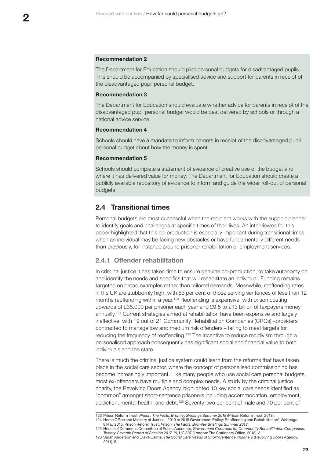#### <span id="page-24-0"></span>**Recommendation 2**

The Department for Education should pilot personal budgets for disadvantaged pupils. This should be accompanied by specialised advice and support for parents in receipt of the disadvantaged pupil personal budget.

#### **Recommendation 3**

The Department for Education should evaluate whether advice for parents in receipt of the disadvantaged pupil personal budget would be best delivered by schools or through a national advice service.

#### **Recommendation 4**

Schools should have a mandate to inform parents in receipt of the disadvantaged pupil personal budget about how the money is spent.

#### **Recommendation 5**

Schools should complete a statement of evidence of creative use of the budget and where it has delivered value for money. The Department for Education should create a publicly available repository of evidence to inform and guide the wider roll-out of personal budgets.

# **2.4 Transitional times**

Personal budgets are most successful when the recipient works with the support planner to identify goals and challenges at specific times of their lives. An interviewee for this paper highlighted that this co-production is especially important during transitional times, when an individual may be facing new obstacles or have fundamentally different needs than previously, for instance around prisoner rehabilitation or employment services.

# **2.4.1 Offender rehabilitation**

In criminal justice it has taken time to ensure genuine co-production, to take autonomy on and identify the needs and specifics that will rehabilitate an individual. Funding remains targeted on broad examples rather than tailored demands. Meanwhile, reoffending rates in the UK are stubbornly high, with 63 per cent of those serving sentences of less than 12 months reoffending within a year.<sup>123</sup> Reoffending is expensive, with prison costing upwards of £35,000 per prisoner each year and £9.5 to £13 billion of taxpayers money annually.124 Current strategies aimed at rehabilitation have been expensive and largely ineffective, with 19 out of 21 Community Rehabilitation Companies (CRCs) –providers contracted to manage low and medium risk offenders – failing to meet targets for reducing the frequency of reoffending.125 The incentive to reduce recidivism through a personalised approach consequently has significant social and financial value to both individuals and the state.

There is much the criminal justice system could learn from the reforms that have taken place in the social care sector, where the concept of personalised commissioning has become increasingly important. Like many people who use social care personal budgets, most ex-offenders have multiple and complex needs. A study by the criminal justice charity, the Revolving Doors Agency, highlighted 10 key social care needs identified as "common" amongst short-sentence prisoners including accommodation, employment, addiction, mental health, and debt.126 Seventy-two per cent of male and 70 per cent of

<sup>123</sup> Prison Reform Trust, *Prison: The Facts. Bromley Briefings Summer 2018* (Prison Reform Trust, 2018). 124 Home Office and Ministry of Justice, '2010 to 2015 Government Policy: Reoffending and Rehabilitation', Webpage, 8 May 2015; Prison Reform Trust, *Prison: The Facts. Bromley Briefings Summer 2018*.

<sup>125</sup> House of Commons Committee of Public Accounts, *Government Contracts for Community Rehabilitation Companies, Twenty-Seventh Report of Session 2017-19*, HC 897 (London: The Stationery Office, 2018), 3.

<sup>126</sup> Sarah Anderson and Claire Cairns, *The Social Care Needs of Short-Sentence Prisoners* (Revolving Doors Agency, 2011), 5.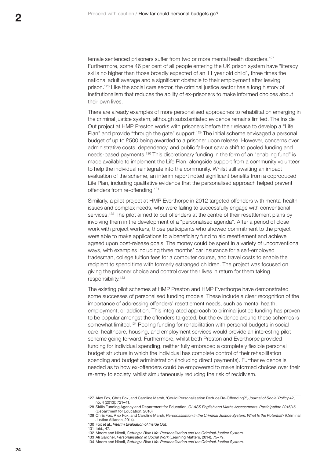female sentenced prisoners suffer from two or more mental health disorders.<sup>127</sup> Furthermore, some 46 per cent of all people entering the UK prison system have "literacy skills no higher than those broadly expected of an 11 year old child", three times the national adult average and a significant obstacle to their employment after leaving prison.128 Like the social care sector, the criminal justice sector has a long history of institutionalism that reduces the ability of ex-prisoners to make informed choices about their own lives.

There are already examples of more personalised approaches to rehabilitation emerging in the criminal justice system, although substantiated evidence remains limited. The Inside Out project at HMP Preston works with prisoners before their release to develop a "Life Plan" and provide "through the gate" support.<sup>129</sup> The initial scheme envisaged a personal budget of up to £500 being awarded to a prisoner upon release. However, concerns over administrative costs, dependency, and public fall-out saw a shift to pooled funding and needs-based payments.130 This discretionary funding in the form of an "enabling fund" is made available to implement the Life Plan, alongside support from a community volunteer to help the individual reintegrate into the community. Whilst still awaiting an impact evaluation of the scheme, an interim report noted significant benefits from a coproduced Life Plan, including qualitative evidence that the personalised approach helped prevent offenders from re-offending.<sup>131</sup>

Similarly, a pilot project at HMP Everthorpe in 2012 targeted offenders with mental health issues and complex needs, who were failing to successfully engage with conventional services.<sup>132</sup> The pilot aimed to put offenders at the centre of their resettlement plans by involving them in the development of a "personalised agenda". After a period of close work with project workers, those participants who showed commitment to the project were able to make applications to a beneficiary fund to aid resettlement and achieve agreed upon post-release goals. The money could be spent in a variety of unconventional ways, with examples including three months' car insurance for a self-employed tradesman, college tuition fees for a computer course, and travel costs to enable the recipient to spend time with formerly estranged children. The project was focused on giving the prisoner choice and control over their lives in return for them taking responsibility.133

The existing pilot schemes at HMP Preston and HMP Everthorpe have demonstrated some successes of personalised funding models. These include a clear recognition of the importance of addressing offenders' resettlement needs, such as mental health, employment, or addiction. This integrated approach to criminal justice funding has proven to be popular amongst the offenders targeted, but the evidence around these schemes is somewhat limited.<sup>134</sup> Pooling funding for rehabilitation with personal budgets in social care, healthcare, housing, and employment services would provide an interesting pilot scheme going forward. Furthermore, whilst both Preston and Everthorpe provided funding for individual spending, neither fully embraced a completely flexible personal budget structure in which the individual has complete control of their rehabilitation spending and budget administration (including direct payments). Further evidence is needed as to how ex-offenders could be empowered to make informed choices over their re-entry to society, whilst simultaneously reducing the risk of recidivism.

<sup>127</sup> Alex Fox, Chris Fox, and Caroline Marsh, 'Could Personalisation Reduce Re-Offending?', *Journal of Social Policy* 42, no. 4 (2013): 721–41.

<sup>128</sup> Skills Funding Agency and Department for Education, *OLASS English and Maths Assessments: Participation 2015/16* (Department for Education, 2016).

<sup>129</sup> Chris Fox, Alex Fox, and Caroline Marsh, *Personalisation in the Criminal Justice System: What Is the Potential?* (Criminal Justice Alliance, 2014).

<sup>130</sup> Fox et al., *Interim Evaluation of Inside Out*.

<sup>131</sup> Ibid., 47.

<sup>132</sup> Moore and Nicoll, *Getting a Blue Life: Personalisation and the Criminal Justice System*.

<sup>133</sup> Ali Gardner, *Personalisation in Social Work* (Learning Matters, 2014), 75–79.

<sup>134</sup> Moore and Nicoll, *Getting a Blue Life: Personalisation and the Criminal Justice System*.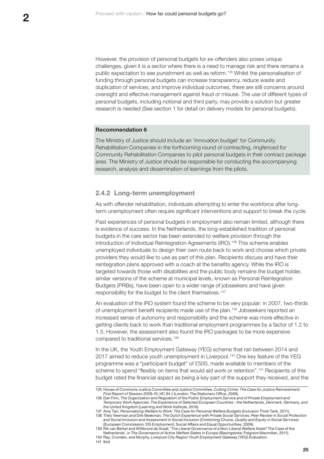<span id="page-26-0"></span>However, the provision of personal budgets for ex-offenders also poses unique challenges, given it is a sector where there is a need to manage risk and there remains a public expectation to see punishment as well as reform.135 Whilst the personalisation of funding through personal budgets can increase transparency, reduce waste and duplication of services, and improve individual outcomes, there are still concerns around oversight and effective management against fraud or misuse. The use of different types of personal budgets, including notional and third party, may provide a solution but greater research is needed (See section 1 for detail on delivery models for personal budgets).

#### **Recommendation 6**

The Ministry of Justice should include an 'innovation budget' for Community Rehabilitation Companies in the forthcoming round of contracting, ringfenced for Community Rehabilitation Companies to pilot personal budgets in their contract package area. The Ministry of Justice should be responsible for conducting the accompanying research, analysis and dissemination of learnings from the pilots.

### **2.4.2 Long-term unemployment**

As with offender rehabilitation, individuals attempting to enter the workforce after longterm unemployment often require significant interventions and support to break the cycle.

Past experiences of personal budgets in employment also remain limited, although there is evidence of success. In the Netherlands, the long-established tradition of personal budgets in the care sector has been extended to welfare provision through the introduction of Individual Reintegration Agreements (IRO).<sup>136</sup> This scheme enables unemployed individuals to design their own route back to work and choose which private providers they would like to use as part of this plan. Recipients discuss and have their reintegration plans approved with a coach at the benefits agency. While the IRO is targeted towards those with disabilities and the public body remains the budget holder, similar versions of the scheme at municipal levels, known as Personal Reintegration Budgets (PRBs), have been open to a wider range of jobseekers and have given responsibility for the budget to the client themselves.<sup>137</sup>

An evaluation of the IRO system found the scheme to be very popular: in 2007, two-thirds of unemployment benefit recipients made use of the plan.138 Jobseekers reported an increased sense of autonomy and responsibility and the scheme was more effective in getting clients back to work than traditional employment programmes by a factor of 1.2 to 1.5. However, the assessment also found the IRO packages to be more expensive compared to traditional services.<sup>139</sup>

In the UK, the Youth Employment Gateway (YEG) scheme that ran between 2014 and 2017 aimed to reduce youth unemployment in Liverpool.140 One key feature of the YEG programme was a "participant budget" of £500, made available to members of the scheme to spend "flexibly on items that would aid work or retention".141 Recipients of this budget rated the financial aspect as being a key part of the support they received, and the

138 Theo Veerman and Dirk Beekman, *The Dutch Experience with Private Social Services: Peer Review in Social Protection and Social Inclusion and Assessment in Social Inclusion (Combining Choice, Quality and Equity in Social Services)*

<sup>135</sup> House of Commons Justice Committee and Justice Committee, *Cutting Crime: The Case for Justice Reinvestment: First Report of Session 2009-10*, HC 94-I (London: The Stationery Office, 2009).

<sup>136</sup> Dan Finn, *The Organisation and Regulation of the Public Employment Service and of Private Employment and Temporary Work Agencies: The Experience of Selected European Countries - the Netherlands, Denmark, Germany, and the United Kingdom* (Learning and Work Institute, 2016).

<sup>137</sup> Amy Tarr, *Personalising Welfare to Work: The Case for Perosnal Welfare Budgets* (Inclusion Think Tank, 2011).

<sup>(</sup>European Commission: DG Employment, Social Affairs and Equal Opportunities, 2009). 139 Rik van Berkel and Willibrord de Graaf, 'The Liberal Governance of a Non-Liberal Welfare State? The Case of the

Netherlands', in *The Governance of Active Welfare States in Europe* (Basingstoke: Palgrave Macmillan, 2011). 140 Ray, Crunden, and Murphy, *Liverpool City Region Youth Employment Gateway (YEG) Evaluation*. 141 Ibid.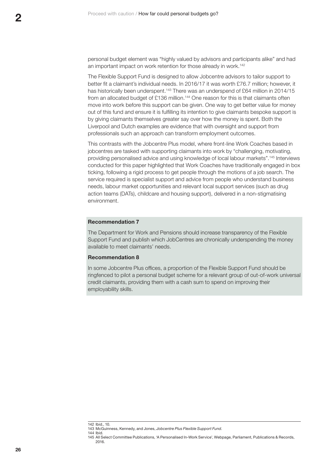personal budget element was "highly valued by advisors and participants alike" and had an important impact on work retention for those already in work.<sup>142</sup>

The Flexible Support Fund is designed to allow Jobcentre advisors to tailor support to better fit a claimant's individual needs. In 2016/17 it was worth £76.7 million; however, it has historically been underspent.<sup>143</sup> There was an underspend of £64 million in 2014/15 from an allocated budget of £136 million.<sup>144</sup> One reason for this is that claimants often move into work before this support can be given. One way to get better value for money out of this fund and ensure it is fulfilling its intention to give claimants bespoke support is by giving claimants themselves greater say over how the money is spent. Both the Liverpool and Dutch examples are evidence that with oversight and support from professionals such an approach can transform employment outcomes.

This contrasts with the Jobcentre Plus model, where front-line Work Coaches based in jobcentres are tasked with supporting claimants into work by "challenging, motivating, providing personalised advice and using knowledge of local labour markets".145 Interviews conducted for this paper highlighted that Work Coaches have traditionally engaged in box ticking, following a rigid process to get people through the motions of a job search. The service required is specialist support and advice from people who understand business needs, labour market opportunities and relevant local support services (such as drug action teams (DATs), childcare and housing support), delivered in a non-stigmatising environment.

#### **Recommendation 7**

The Department for Work and Pensions should increase transparency of the Flexible Support Fund and publish which JobCentres are chronically underspending the money available to meet claimants' needs.

#### **Recommendation 8**

In some Jobcentre Plus offices, a proportion of the Flexible Support Fund should be ringfenced to pilot a personal budget scheme for a relevant group of out-of-work universal credit claimants, providing them with a cash sum to spend on improving their employability skills.

<sup>142</sup> Ibid., 10.

<sup>143</sup> McGuinness, Kennedy, and Jones, *Jobcentre Plus Flexible Support Fund*. 144 Ibid.

<sup>145</sup> All Select Committee Publications, 'A Personalised In-Work Service', Webpage, Parliament, Publications & Records, 2016.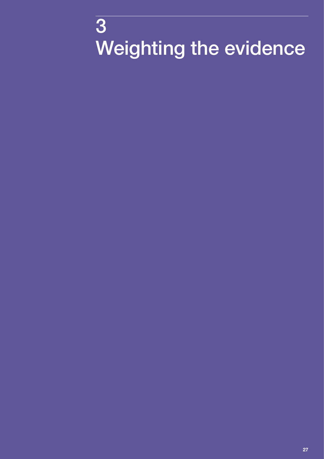# <span id="page-28-0"></span> Weighting the evidence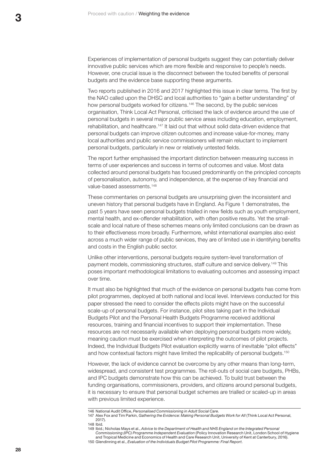Experiences of implementation of personal budgets suggest they can potentially deliver innovative public services which are more flexible and responsive to people's needs. However, one crucial issue is the disconnect between the touted benefits of personal budgets and the evidence base supporting these arguments.

Two reports published in 2016 and 2017 highlighted this issue in clear terms. The first by the NAO called upon the DHSC and local authorities to "gain a better understanding" of how personal budgets worked for citizens.<sup>146</sup> The second, by the public services organisation, Think Local Act Personal, criticised the lack of evidence around the use of personal budgets in several major public service areas including education, employment, rehabilitation, and healthcare.<sup>147</sup> It laid out that without solid data-driven evidence that personal budgets can improve citizen outcomes and increase value-for-money, many local authorities and public service commissioners will remain reluctant to implement personal budgets, particularly in new or relatively untested fields.

The report further emphasised the important distinction between measuring success in terms of user experiences and success in terms of outcomes and value. Most data collected around personal budgets has focused predominantly on the principled concepts of personalisation, autonomy, and independence, at the expense of key financial and value-based assessments.<sup>148</sup>

These commentaries on personal budgets are unsurprising given the inconsistent and uneven history that personal budgets have in England. As [Figure 1](#page-16-1) demonstrates, the past 5 years have seen personal budgets trialled in new fields such as youth employment, mental health, and ex-offender rehabilitation, with often positive results. Yet the smallscale and local nature of these schemes means only limited conclusions can be drawn as to their effectiveness more broadly. Furthermore, whilst international examples also exist across a much wider range of public services, they are of limited use in identifying benefits and costs in the English public sector.

Unlike other interventions, personal budgets require system-level transformation of payment models, commissioning structures, staff culture and service delivery.149 This poses important methodological limitations to evaluating outcomes and assessing impact over time.

It must also be highlighted that much of the evidence on personal budgets has come from pilot programmes, deployed at both national and local level. Interviews conducted for this paper stressed the need to consider the effects pilots might have on the successful scale-up of personal budgets. For instance, pilot sites taking part in the Individual Budgets Pilot and the Personal Health Budgets Programme received additional resources, training and financial incentives to support their implementation. These resources are not necessarily available when deploying personal budgets more widely, meaning caution must be exercised when interpreting the outcomes of pilot projects. Indeed, the Individual Budgets Pilot evaluation explicitly warns of inevitable "pilot effects" and how contextual factors might have limited the replicability of personal budgets.150

However, the lack of evidence cannot be overcome by any other means than long-term, widespread, and consistent test programmes. The roll-outs of social care budgets, PHBs, and IPC budgets demonstrate how this can be achieved. To build trust between the funding organisations, commissioners, providers, and citizens around personal budgets, it is necessary to ensure that personal budget schemes are trialled or scaled-up in areas with previous limited experience.

<sup>146</sup> National Audit Office, *Personalised Commissioning in Adult Social Care*.

<sup>147</sup> Alex Fox and Tim Parkin, *Gathering the Evidence: Making Personal Budgets Work for All* (Think Local Act Personal, 2017).

<sup>148</sup> Ibid.

<sup>149</sup> Ibid.; Nicholas Mays et al., *Advice to the Department of Health and NHS England on the Integrated Personal Commissioning (IPC) Programme Independent Evaluation* (Policy Innovation Research Unit, London School of Hygiene and Tropical Medicine and Economics of Health and Care Research Unit, University of Kent at Canterbury, 2016). 150 Glendinning et al., *Evaluation of the Individuals Budget Pilot Programme: Final Report*.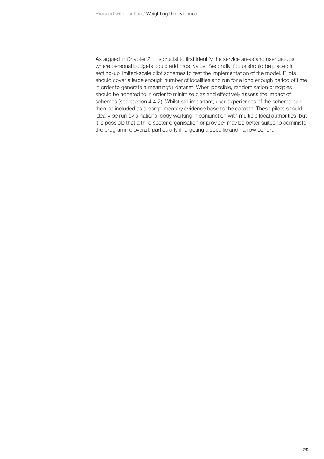As argued in Chapter 2, it is crucial to first identify the service areas and user groups where personal budgets could add most value. Secondly, focus should be placed in setting-up limited-scale pilot schemes to test the implementation of the model. Pilots should cover a large enough number of localities and run for a long enough period of time in order to generate a meaningful dataset. When possible, randomisation principles should be adhered to in order to minimise bias and effectively assess the impact of schemes (see section 4.4.2). Whilst still important, user experiences of the scheme can then be included as a complimentary evidence base to the dataset. These pilots should ideally be run by a national body working in conjunction with multiple local authorities, but it is possible that a third sector organisation or provider may be better suited to administer the programme overall, particularly if targeting a specific and narrow cohort.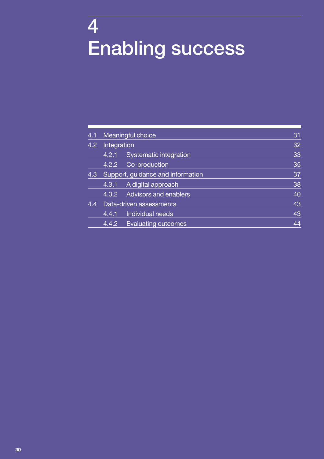# <span id="page-31-0"></span>4 Enabling success

| 4.1 | Meaningful choice                 |                              | 31 |
|-----|-----------------------------------|------------------------------|----|
| 4.2 | Integration                       |                              | 32 |
|     | 4.2.1                             | Systematic integration       | 33 |
|     | 4.2.2                             | Co-production                | 35 |
| 4.3 | Support, guidance and information |                              | 37 |
|     | 4.3.1                             | A digital approach           | 38 |
|     | 4.3.2                             | <b>Advisors and enablers</b> | 40 |
| 4.4 | Data-driven assessments           |                              | 43 |
|     | 4.4.1                             | Individual needs             | 43 |
|     | 4.4.2                             | <b>Evaluating outcomes</b>   | 44 |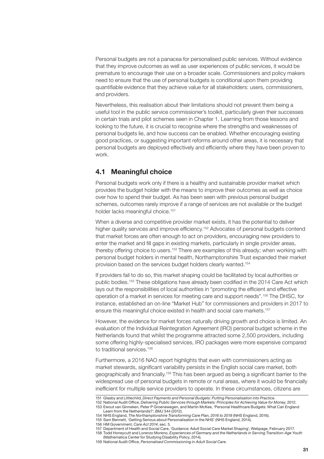<span id="page-32-0"></span>Personal budgets are not a panacea for personalised public services. Without evidence that they improve outcomes as well as user experiences of public services, it would be premature to encourage their use on a broader scale. Commissioners and policy makers need to ensure that the use of personal budgets is conditional upon them providing quantifiable evidence that they achieve value for all stakeholders: users, commissioners, and providers.

Nevertheless, this realisation about their limitations should not prevent them being a useful tool in the public service commissioner's toolkit, particularly given their successes in certain trials and pilot schemes seen in Chapter 1. Learning from those lessons and looking to the future, it is crucial to recognise where the strengths and weaknesses of personal budgets lie, and how success can be enabled. Whether encouraging existing good practices, or suggesting important reforms around other areas, it is necessary that personal budgets are deployed effectively and efficiently where they have been proven to work.

# **4.1 Meaningful choice**

Personal budgets work only if there is a healthy and sustainable provider market which provides the budget holder with the means to improve their outcomes as well as choice over how to spend their budget. As has been seen with previous personal budget schemes, outcomes rarely improve if a range of services are not available or the budget holder lacks meaningful choice.<sup>151</sup>

When a diverse and competitive provider market exists, it has the potential to deliver higher quality services and improve efficiency.<sup>152</sup> Advocates of personal budgets contend that market forces are often enough to act on providers, encouraging new providers to enter the market and fill gaps in existing markets, particularly in single provider areas, thereby offering choice to users.153 There are examples of this already; when working with personal budget holders in mental health, Northamptonshire Trust expanded their market provision based on the services budget holders clearly wanted.154

If providers fail to do so, this market shaping could be facilitated by local authorities or public bodies.<sup>155</sup> These obligations have already been codified in the 2014 Care Act which lays out the responsibilities of local authorities in "promoting the efficient and effective operation of a market in services for meeting care and support needs".156 The DHSC, for instance, established an on-line "Market Hub" for commissioners and providers in 2017 to ensure this meaningful choice existed in health and social care markets.<sup>157</sup>

However, the evidence for market forces naturally driving growth and choice is limited. An evaluation of the Individual Reintegration Agreement (IRO) personal budget scheme in the Netherlands found that whilst the programme attracted some 2,500 providers, including some offering highly-specialised services, IRO packages were more expensive compared to traditional services.<sup>158</sup>

Furthermore, a 2016 NAO report highlights that even with commissioners acting as market stewards, significant variability persists in the English social care market, both geographically and financially.<sup>159</sup> This has been argued as being a significant barrier to the widespread use of personal budgets in remote or rural areas, where it would be financially inefficient for multiple service providers to operate. In these circumstances, citizens are

158 Todd Honeycutt and Lorenzo Moreno, *Experiences of Germany and the Netherlands in Serving Transition-Age Youth* (Mathematica Center for Studying Disability Policy, 2014).

<sup>151</sup> Glasby and Littlechild, *Direct Payments and Personal Budgets: Putting Personalisation into Practice*.

<sup>152</sup> National Audit Office, *Delivering Public Services through Markets: Principles for Achieving Value for Money*, 2012. 153 Ewout van Ginneken, Peter P Groenewegen, and Martin McKee, 'Personal Healthcare Budgets: What Can England Learn from the Netherlands?', *BMJ* 344 (2012).

<sup>154</sup> NHS England, *The Northamptonshire Transforming Care Plan, 2016 to 2019* (NHS England, 2016).

<sup>155</sup> Sam Bennett, 'Getting Serious about Personalisation in the NHS' (NHS England, 2014).

<sup>156</sup> HM Government, *Care Act 2014*, sec. 5.

<sup>157</sup> Department of Health and Social Care, 'Guidance: Adult Social Care Market Shaping', Webpage, February 2017.

<sup>159</sup> National Audit Office, *Personalised Commissioning in Adult Social Care*.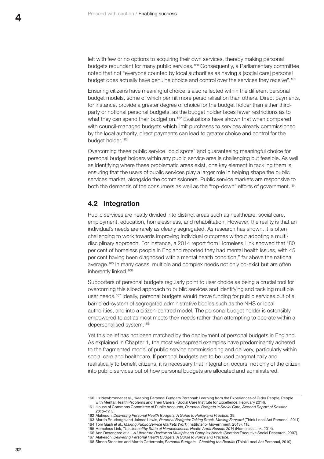<span id="page-33-0"></span>left with few or no options to acquiring their own services, thereby making personal budgets redundant for many public services.<sup>160</sup> Consequently, a Parliamentary committee noted that not "everyone counted by local authorities as having a [social care] personal budget does actually have genuine choice and control over the services they receive".<sup>161</sup>

Ensuring citizens have meaningful choice is also reflected within the different personal budget models, some of which permit more personalisation than others. Direct payments, for instance, provide a greater degree of choice for the budget holder than either thirdparty or notional personal budgets, as the budget holder faces fewer restrictions as to what they can spend their budget on.<sup>162</sup> Evaluations have shown that when compared with council-managed budgets which limit purchases to services already commissioned by the local authority, direct payments can lead to greater choice and control for the budget holder.<sup>163</sup>

Overcoming these public service "cold spots" and guaranteeing meaningful choice for personal budget holders within any public service area is challenging but feasible. As well as identifying where these problematic areas exist, one key element in tackling them is ensuring that the users of public services play a larger role in helping shape the public services market, alongside the commissioners. Public service markets are responsive to both the demands of the consumers as well as the "top-down" efforts of government.<sup>164</sup>

# **4.2 Integration**

Public services are neatly divided into distinct areas such as healthcare, social care, employment, education, homelessness, and rehabilitation. However, the reality is that an individual's needs are rarely as clearly segregated. As research has shown, it is often challenging to work towards improving individual outcomes without adopting a multidisciplinary approach. For instance, a 2014 report from Homeless Link showed that "80 per cent of homeless people in England reported they had mental health issues, with 45 per cent having been diagnosed with a mental health condition," far above the national average.<sup>165</sup> In many cases, multiple and complex needs not only co-exist but are often inherently linked.166

Supporters of personal budgets regularly point to user choice as being a crucial tool for overcoming this siloed approach to public services and identifying and tackling multiple user needs.<sup>167</sup> Ideally, personal budgets would move funding for public services out of a barriered-system of segregated administrative bodies such as the NHS or local authorities, and into a citizen-centred model. The personal budget holder is ostensibly empowered to act as most meets their needs rather than attempting to operate within a depersonalised system.<sup>168</sup>

Yet this belief has not been matched by the deployment of personal budgets in England. As explained in Chapter 1, the most widespread examples have predominantly adhered to the fragmented model of public service commissioning and delivery, particularly within social care and healthcare. If personal budgets are to be used pragmatically and realistically to benefit citizens, it is necessary that integration occurs, not only of the citizen into public services but of how personal budgets are allocated and administered.

<sup>160</sup> Liz Newbronner et al., 'Keeping Personal Budgets Personal: Learning from the Experiences of Older People, People with Mental Health Problems and Their Carers' (Social Care Institute for Excellence, February 2014).

<sup>161</sup> House of Commons Committee of Public Accounts, *Personal Budgets in Social Care, Second Report of Session 2016–17*, 5.

<sup>162</sup> Alakeson, *Delivering Personal Health Budgets: A Guide to Policy and Practice*, 39.

<sup>163</sup> Martin Routledge and Jaimee Lewis, *Personal Budgets: Taking Stock, Moving Forward* (Think Local Act Personal, 2011). 164 Tom Gash et al., *Making Public Service Markets Work* (Institute for Government, 2013), 115.

<sup>165</sup> Homeless Link, *The Unhealthy State of Homelessness: Health Audit Results 2014* (Homeless Link, 2014).

<sup>166</sup> Ann Rosengard et al., *A Literature Review on Multiple and Complex Needs* (Scottish Executive Social Research, 2007). 167 Alakeson, *Delivering Personal Health Budgets: A Guide to Policy and Practice*.

<sup>168</sup> Simon Stockton and Martin Cattermole, *Personal Budgets - Checking the Results* (Think Local Act Personal, 2010).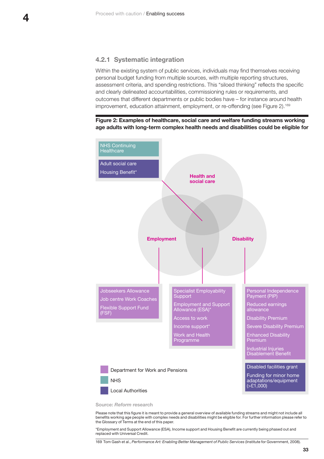#### <span id="page-34-0"></span>**4.2.1 Systematic integration**

Within the existing system of public services, individuals may find themselves receiving personal budget funding from multiple sources, with multiple reporting structures, assessment criteria, and spending restrictions. This "siloed thinking" reflects the specific and clearly delineated accountabilities, commissioning rules or requirements, and outcomes that different departments or public bodies have – for instance around health improvement, education attainment, employment, or re-offending (see [Figure 2](#page-34-1)).<sup>169</sup>

<span id="page-34-1"></span>



**Source:** *Reform* **research**

Please note that this figure it is meant to provide a general overview of available funding streams and might not include all benefits working age people with complex needs and disabilities might be eligible for. For further information please refer to the Glossary of Terms at the end of this paper.

\*Employment and Support Allowance (ESA), Income support and Housing Benefit are currently being phased out and replaced with Universal Credit.

169 Tom Gash et al., *Performance Art: Enabling Better Management of Public Services* (Institute for Government, 2008).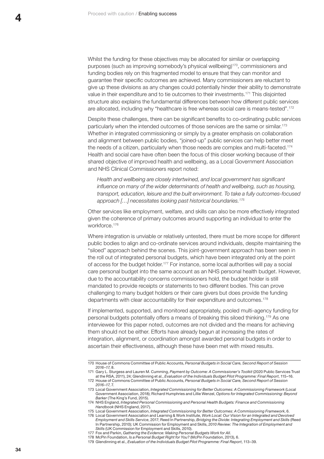Whilst the funding for these objectives may be allocated for similar or overlapping purposes (such as improving somebody's physical wellbeing)170, commissioners and funding bodies rely on this fragmented model to ensure that they can monitor and guarantee their specific outcomes are achieved. Many commissioners are reluctant to give up these divisions as any changes could potentially hinder their ability to demonstrate value in their expenditure and to tie outcomes to their investments.171 This disjointed structure also explains the fundamental differences between how different public services are allocated, including why "healthcare is free whereas social care is means-tested".<sup>172</sup>

Despite these challenges, there can be significant benefits to co-ordinating public services particularly when the intended outcomes of those services are the same or similar.173 Whether in integrated commissioning or simply by a greater emphasis on collaboration and alignment between public bodies, "joined-up" public services can help better meet the needs of a citizen, particularly when those needs are complex and multi-faceted.174 Health and social care have often been the focus of this closer working because of their shared objective of improved health and wellbeing, as a Local Government Association and NHS Clinical Commissioners report noted:

*Health and wellbeing are closely intertwined, and local government has significant influence on many of the wider determinants of health and wellbeing, such as housing, transport, education, leisure and the built environment. To take a fully outcomes-focused approach […] necessitates looking past historical boundaries.175*

Other services like employment, welfare, and skills can also be more effectively integrated given the coherence of primary outcomes around supporting an individual to enter the workforce.176

Where integration is unviable or relatively untested, there must be more scope for different public bodies to align and co-ordinate services around individuals, despite maintaining the "siloed" approach behind the scenes. This joint-government approach has been seen in the roll out of integrated personal budgets, which have been integrated only at the point of access for the budget holder.177 For instance, some local authorities will pay a social care personal budget into the same account as an NHS personal health budget. However, due to the accountability concerns commissioners hold, the budget holder is still mandated to provide receipts or statements to two different bodies. This can prove challenging to many budget holders or their care givers but does provide the funding departments with clear accountability for their expenditure and outcomes.<sup>178</sup>

If implemented, supported, and monitored appropriately, pooled multi-agency funding for personal budgets potentially offers a means of breaking this siloed thinking.179 As one interviewee for this paper noted, outcomes are not divided and the means for achieving them should not be either. Efforts have already begun at increasing the rates of integration, alignment, or coordination amongst awarded personal budgets in order to ascertain their effectiveness, although these have been met with mixed results.

<sup>170</sup> House of Commons Committee of Public Accounts, *Personal Budgets in Social Care, Second Report of Session 2016–17*, 8.

<sup>171</sup> Gary L. Sturgess and Lauren M. Cumming, *Payment by Outcome: A Commissioner's Toolkit* (2020 Public Services Trust at the RSA, 2011), 24; Glendinning et al., *Evaluation of the Individuals Budget Pilot Programme: Final Report*, 115–16. 172 House of Commons Committee of Public Accounts, *Personal Budgets in Social Care, Second Report of Session 2016–17*, 7.

<sup>173</sup> Local Government Association, *Integrated Commissioning for Better Outcomes: A Commissioning Framework* (Local Government Association, 2018); Richard Humphries and Lillie Wenzel, *Options for Integrated Commissioning: Beyond Barker* (The King's Fund, 2015).

<sup>174</sup> NHS England, *Integrated Personal Commissioning and Personal Health Budgets: Finance and Commissioning Handbook* (NHS England, 2017).

<sup>175</sup> Local Government Association, *Integrated Commissioning for Better Outcomes: A Commissioning Framework*, 6.

<sup>176</sup> Local Government Association and Learning & Work Institute, *Work Local: Our Vision for an Integrated and Devolved Employment and Skills Service*, 2017; Reed In Partnership, *Bridging the Divide: Integrating Employment and Skills* (Reed In Partnership, 2010); UK Commission for Employment and Skills, *2010 Review: The Integration of Employment and Skills* (UK Commission for Employment and Skills, 2010).

<sup>177</sup> Fox and Parkin, *Gathering the Evidence: Making Personal Budgets Work for All*.

<sup>178</sup> McPin Foundation, *Is a Personal Budget Right for You?* (McPin Foundation, 2013), 6.

<sup>179</sup> Glendinning et al., *Evaluation of the Individuals Budget Pilot Programme: Final Report*, 113–39.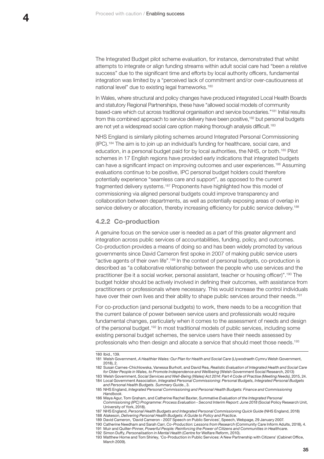<span id="page-36-0"></span>The Integrated Budget pilot scheme evaluation, for instance, demonstrated that whilst attempts to integrate or align funding streams within adult social care had "been a relative success" due to the significant time and efforts by local authority officers, fundamental integration was limited by a "perceived lack of commitment and/or over-cautiousness at national level" due to existing legal frameworks.<sup>180</sup>

In Wales, where structural and policy changes have produced integrated Local Health Boards and statutory Regional Partnerships, these have "allowed social models of community based-care which cut across traditional organisation and service boundaries."181 Initial results from this combined approach to service delivery have been positive,182 but personal budgets are not yet a widespread social care option making thorough analysis difficult.<sup>183</sup>

NHS England is similarly piloting schemes around Integrated Personal Commissioning (IPC).184 The aim is to join up an individual's funding for healthcare, social care, and education, in a personal budget paid for by local authorities, the NHS, or both.185 Pilot schemes in 17 English regions have provided early indications that integrated budgets can have a significant impact on improving outcomes and user experiences.186 Assuming evaluations continue to be positive, IPC personal budget holders could therefore potentially experience "seamless care and support", as opposed to the current fragmented delivery systems.187 Proponents have highlighted how this model of commissioning via aligned personal budgets could improve transparency and collaboration between departments, as well as potentially exposing areas of overlap in service delivery or allocation, thereby increasing efficiency for public service delivery.<sup>188</sup>

#### **4.2.2 Co-production**

A genuine focus on the service user is needed as a part of this greater alignment and integration across public services of accountabilities, funding, policy, and outcomes. Co-production provides a means of doing so and has been widely promoted by various governments since David Cameron first spoke in 2007 of making public service users "active agents of their own life".189 In the context of personal budgets, co-production is described as "a collaborative relationship between the people who use services and the practitioner (be it a social worker, personal assistant, teacher or housing officer)".190 The budget holder should be actively involved in defining their outcomes, with assistance from practitioners or professionals where necessary. This would increase the control individuals have over their own lives and their ability to shape public services around their needs.<sup>191</sup>

For co-production (and personal budgets) to work, there needs to be a recognition that the current balance of power between service users and professionals would require fundamental changes, particularly when it comes to the assessment of needs and design of the personal budget.192 In most traditional models of public services, including some existing personal budget schemes, the service users have their needs assessed by professionals who then design and allocate a service that should meet those needs.<sup>193</sup>

<sup>180</sup> Ibid., 139.

<sup>181</sup> Welsh Government, *A Healthier Wales: Our Plan for Health and Social Care* (Llywodraeth Cymru Welsh Government, 2018), 2.

<sup>182</sup> Susan Carnes-Chichlowska, Vanessa Burholt, and David Rea, *Realistic Evaluation of Integrated Health and Social Care for Older People in Wales, to Promote Independence and Wellbeing* (Welsh Government Social Research, 2013)

<sup>183</sup> Welsh Government, *Social Services and Well-Being (Wales) Act 2014: Part 4 Code of Practise (Meeting Needs)*, 2015, 24. 184 Local Government Association, *Integrated Personal Commissioning: Personal Budgets, Integrated Personal Budgets and Personal Health Budgets. Summary Guide.*, 3.

<sup>185</sup> NHS England, *Integrated Personal Commissioning and Personal Health Budgets: Finance and Commissioning Handbook*.

<sup>186</sup> Maya Agur, Tom Graham, and Catherine Rachel Baxter, *Summative Evaluation of the Integrated Personal* 

*Commissioning (IPC) Programme: Process Evaluation - Second Interim Report: June 2018* (Social Policy Research Unit, University of York, 2018).

<sup>187</sup> NHS England, *Personal Health Budgets and Integrated Personal Commissioning Quick Guide* (NHS England, 2018) 188 Alakeson, *Delivering Personal Health Budgets: A Guide to Policy and Practice*.

<sup>189</sup> David Cameron, 'David Cameron - 2007 Speech on Public Services', Speech, Webpage, 29 January 2007.

<sup>190</sup> Catherine Needham and Sarah Carr, *Co-Production: Lessons from Research* (Community Care Inform Adults, 2018), 4.

<sup>191</sup> Muir and Quilter-Pinner, *Powerful People: Reinforcing the Power of Citizens and Communities in Healthcare*.

<sup>192</sup> Simon Duffy, *Personalisation in Mental Health* (Centre for Welfare Reform, 2010).

<sup>193</sup> Matthew Horne and Tom Shirley, 'Co-Production in Public Services: A New Partnership with Citizens' (Cabinet Office, March 2009).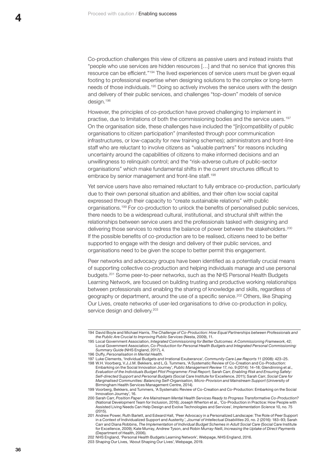Co-production challenges this view of citizens as passive users and instead insists that "people who use services are hidden resources […] and that no service that ignores this resource can be efficient."194 The lived experiences of service users must be given equal footing to professional expertise when designing solutions to the complex or long-term needs of those individuals.195 Doing so actively involves the service users with the design and delivery of their public services, and challenges "top-down" models of service design.196

However, the principles of co-production have proved challenging to implement in practise, due to limitations of both the commissioning bodies and the service users.197 On the organisation side, these challenges have included the "[in]compatibility of public organisations to citizen participation" (manifested through poor communication infrastructures, or low-capacity for new training schemes); administrators and front-line staff who are reluctant to involve citizens as "valuable partners" for reasons including uncertainty around the capabilities of citizens to make informed decisions and an unwillingness to relinquish control; and the "risk-adverse culture of public-sector organisations" which make fundamental shifts in the current structures difficult to embrace by senior management and front-line staff.<sup>198</sup>

Yet service users have also remained reluctant to fully embrace co-production, particularly due to their own personal situation and abilities, and their often low social capital expressed through their capacity to "create sustainable relations" with public organisations.199 For co-production to unlock the benefits of personalised public services, there needs to be a widespread cultural, institutional, and structural shift within the relationships between service users and the professionals tasked with designing and delivering those services to redress the balance of power between the stakeholders.<sup>200</sup> If the possible benefits of co-production are to be realised, citizens need to be better supported to engage with the design and delivery of their public services, and organisations need to be given the scope to better permit this engagement.

Peer networks and advocacy groups have been identified as a potentially crucial means of supporting collective co-production and helping individuals manage and use personal budgets.201 Some peer-to-peer networks, such as the NHS Personal Health Budgets Learning Network, are focused on building trusting and productive working relationships between professionals and enabling the sharing of knowledge and skills, regardless of geography or department, around the use of a specific service.<sup>202</sup> Others, like Shaping Our Lives, create networks of user-led organisations to drive co-production in policy, service design and delivery.<sup>203</sup>

<sup>194</sup> David Boyle and Michael Harris, *The Challenge of Co-Production: How Equal Partnerships between Professionals and the Public Are Crucial to Improving Public Services* (Nesta, 2009), 11.

<sup>195</sup> Local Government Association, *Integrated Commissioning for Better Outcomes: A Commissioning Framework*, 42; Local Government Association, *Co-Production for Personal Health Budgets and Integrated Personal Commissioning: Summary Guide* (NHS England, 2017), 4.

<sup>196</sup> Duffy, *Personalisation in Mental Health*.

<sup>197</sup> Luke Clements, 'Individual Budgets and Irrational Exuberance', *Community Care Law Reports* 11 (2008): 423–25. 198 W.H. Voorberg, V.J.J.M. Bekkers, and L.G. Tummers, 'A Systematic Review of Co-Creation and Co-Production: Embarking on the Social Innovation Journey', *Public Management Review* 17, no. 9 (2014): 14–18; Glendinning et al., *Evaluation of the Individuals Budget Pilot Programme: Final Report*; Sarah Carr, *Enabling Risk and Ensuring Safety: Self*‐*directed Support and Personal Budgets* (Social Care Institute for Excellence, 2011); Sarah Carr, *Social Care for Marginalised Communities: Balancing Self-Organisation, Micro-Provision and Mainstream Support* (University of Birmingham Health Services Management Centre, 2014).

<sup>199</sup> Voorberg, Bekkers, and Tummers, 'A Systematic Review of Co-Creation and Co-Production: Embarking on the Social Innovation Journey', 16.

<sup>200</sup> Sarah Carr, *Position Paper: Are Mainstream Mental Health Services Ready to Progress Transformative Co-Production?* (National Development Team for Inclusion, 2016); Joseph Wherton et al., 'Co-Production in Practice: How People with Assisted Living Needs Can Help Design and Evolve Technologies and Services', *Implementation Science* 10, no. 75 (2015).

<sup>201</sup> Andrew Power, Ruth Barlett, and Edward Hall, 'Peer Advocacy in a Personalized Landscape: The Role of Peer Support in a Context of Individualized Support and Austerity.', *Journal of Intellectual Disabilities* 20, no. 2 (2016): 183–93; Sarah Carr and Diana Robbins, *The Implementation of Individual Budget Schemes in Adult Social Care* (Social Care Institute for Excellence, 2009); Kate Murray, Andrew Tyson, and Robin Murray-Neill, *Increasing the Uptake of Direct Payments* (Department of Health, 2006).

<sup>202</sup> NHS England, 'Personal Health Budgets Learning Network', Webpage, NHS England, 2016.

<sup>203</sup> Shaping Our Lives, 'About Shaping Our Lives', Webpage, 2019.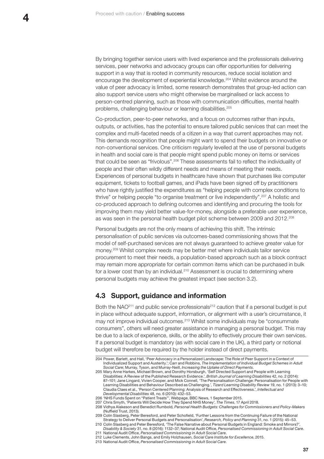<span id="page-38-0"></span>By bringing together service users with lived experience and the professionals delivering services, peer networks and advocacy groups can offer opportunities for delivering support in a way that is rooted in community resources, reduce social isolation and encourage the development of experiential knowledge.204 Whilst evidence around the value of peer advocacy is limited, some research demonstrates that group-led action can also support service users who might otherwise be marginalised or lack access to person-centred planning, such as those with communication difficulties, mental health problems, challenging behaviour or learning disabilities.205

Co-production, peer-to-peer networks, and a focus on outcomes rather than inputs, outputs, or activities, has the potential to ensure tailored public services that can meet the complex and multi-faceted needs of a citizen in a way that current approaches may not. This demands recognition that people might want to spend their budgets on innovative or non-conventional services. One criticism regularly levelled at the use of personal budgets in health and social care is that people might spend public money on items or services that could be seen as "frivolous".<sup>206</sup> These assessments fail to reflect the individuality of people and their often wildly different needs and means of meeting their needs. Experiences of personal budgets in healthcare have shown that purchases like computer equipment, tickets to football games, and iPads have been signed off by practitioners who have rightly justified the expenditures as "helping people with complex conditions to thrive" or helping people "to organise treatment or live independently".207 A holistic and co-produced approach to defining outcomes and identifying and procuring the tools for improving them may yield better value-for-money, alongside a preferable user experience, as was seen in the personal health budget pilot scheme between 2009 and 2012.208

Personal budgets are not the only means of achieving this shift. The intrinsic personalisation of public services via outcomes-based commissioning shows that the model of self-purchased services are not always guaranteed to achieve greater value for money.209 Whilst complex needs may be better met where individuals tailor service procurement to meet their needs, a population-based approach such as a block contract may remain more appropriate for certain common items which can be purchased in bulk for a lower cost than by an individual.<sup>210</sup> Assessment is crucial to determining where personal budgets may achieve the greatest impact (see section 3.2).

## **4.3 Support, guidance and information**

Both the NAO<sup>211</sup> and public service professionals<sup>212</sup> caution that if a personal budget is put in place without adequate support, information, or alignment with a user's circumstance, it may not improve individual outcomes.213 Whilst some individuals may be "consummate consumers", others will need greater assistance in managing a personal budget. This may be due to a lack of experience, skills, or the ability to effectively procure their own services. If a personal budget is mandatory (as with social care in the UK), a third party or notional budget will therefore be required by the holder instead of direct payments.

<sup>204</sup> Power, Barlett, and Hall, 'Peer Advocacy in a Personalized Landscape: The Role of Peer Support in a Context of Individualized Support and Austerity.'; Carr and Robbins, *The Implementation of Individual Budget Schemes in Adult Social Care*; Murray, Tyson, and Murray-Neill, *Increasing the Uptake of Direct Payments*.

<sup>205</sup> Mary Anne Harkes, Michael Brown, and Dorothy Horsburgh, 'Self Directed Support and People with Learning Disabilities: A Review of the Published Research Evidence.', *British Journal of Learning Disabilities* 42, no. 2 (2014): 87–101; Jane Lingard, Vivien Cooper, and Mick Connell, 'The Personalisation Challenge: Personalisation for People with Learning Disabilities and Behaviour Described as Challenging.', *Tizard Learning Disability Review* 19, no. 1 (2013): 3–10; Claudia Claes et al., 'Person Centered Planning: Analysis of Research and Effectiveness.', *Intellectual and Developmental Disabilities* 48, no. 6 (2010): 432–53.

<sup>206 &#</sup>x27;NHS Funds Spent on "Patient Treats"', Webpage, BBC News, 1 September 2015.

<sup>207</sup> Chris Smyth, 'Patients Will Decide How They Spend NHS Money', *The Times*, 17 April 2018.

<sup>208</sup> Vidhya Alakeson and Benedict Rumbold, *Personal Health Budgets: Challenges for Commissioners and Policy-Makers* (Nuffield Trust, 2013).

<sup>209</sup> Colin Slasberg, Peter Beresford, and Peter Schofield, 'Further Lessons from the Continuing Failure of the National Strategy to Deliver Personal Budgets and Personalisation', *Research, Policy and Planning* 31, no. 1 (2015): 45–53.

<sup>210</sup> Colin Slasberg and Peter Beresford, 'The False Narrative about Personal Budgets in England: Smoke and Mirrors?', *Disability & Society* 31, no. 8 (2016): 1132–37; National Audit Office, *Personalised Commissioning in Adult Social Care*.

<sup>211</sup> National Audit Office, *Personalised Commissioning in Adult Social Care*. 212 Luke Clements, John Bangs, and Emily Holzhausen, *Social Care Institute for Excellence*, 2015.

<sup>213</sup> National Audit Office, *Personalised Commissioning in Adult Social Care*.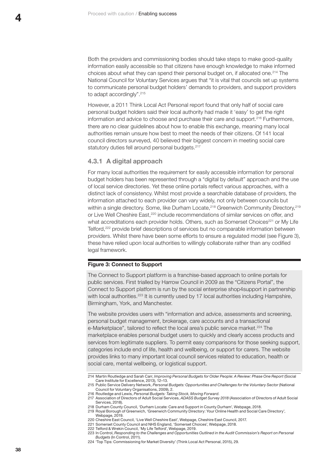<span id="page-39-0"></span>Both the providers and commissioning bodies should take steps to make good-quality information easily accessible so that citizens have enough knowledge to make informed choices about what they can spend their personal budget on, if allocated one.214 The National Council for Voluntary Services argues that "it is vital that councils set up systems to communicate personal budget holders' demands to providers, and support providers to adapt accordingly".<sup>215</sup>

However, a 2011 Think Local Act Personal report found that only half of social care personal budget holders said their local authority had made it 'easy' to get the right information and advice to choose and purchase their care and support.216 Furthermore, there are no clear guidelines about how to enable this exchange, meaning many local authorities remain unsure how best to meet the needs of their citizens. Of 141 local council directors surveyed, 40 believed their biggest concern in meeting social care statutory duties fell around personal budgets.<sup>217</sup>

#### **4.3.1 A digital approach**

For many local authorities the requirement for easily accessible information for personal budget holders has been represented through a "digital by default" approach and the use of local service directories. Yet these online portals reflect various approaches, with a distinct lack of consistency. Whilst most provide a searchable database of providers, the information attached to each provider can vary widely, not only between councils but within a single directory. Some, like Durham Locate,<sup>218</sup> Greenwich Community Directory,<sup>219</sup> or Live Well Cheshire East,<sup>220</sup> include recommendations of similar services on offer, and what accreditations each provider holds. Others, such as Somerset Choices<sup>221</sup> or My Life Telford,<sup>222</sup> provide brief descriptions of services but no comparable information between providers. Whilst there have been some efforts to ensure a regulated model (see Figure 3), these have relied upon local authorities to willingly collaborate rather than any codified legal framework.

#### **Figure 3: Connect to Support**

The Connect to Support platform is a franchise-based approach to online portals for public services. First trialled by Harrow Council in 2009 as the "Citizens Portal", the Connect to Support platform is run by the social enterprise shop4support in partnership with local authorities.<sup>223</sup> It is currently used by 17 local authorities including Hampshire, Birmingham, York, and Manchester.

The website provides users with "information and advice, assessments and screening, personal budget management, brokerage, care accounts and a transactional e-Marketplace", tailored to reflect the local area's public service market.<sup>224</sup> The marketplace enables personal budget users to quickly and clearly access products and services from legitimate suppliers. To permit easy comparisons for those seeking support, categories include end of life, health and wellbeing, or support for carers. The website provides links to many important local council services related to education, health or social care, mental wellbeing, or logistical support.

<sup>214</sup> Martin Routledge and Sarah Carr, *Improving Personal Budgets for Older People: A Review: Phase One Report* (Social Care Institute for Excellence, 2013), 12–13.

<sup>215</sup> Public Service Delivery Network, *Personal Budgets: Opportunities and Challenges for the Voluntary Sector* (National Council for Voluntary Organisations, 2009), 2.

<sup>216</sup> Routledge and Lewis, *Personal Budgets: Taking Stock, Moving Forward*.

<sup>217</sup> Association of Directors of Adult Social Services, *ADASS Budget Survey 2018* (Association of Directors of Adult Social Services, 2018).

<sup>218</sup> Durham County Council, 'Durham Locate: Care and Support in County Durham', Webpage, 2018.

<sup>219</sup> Royal Borough of Greenwich, 'Greenwich Community Directory: Your Online Health and Social Care Directory', Webpage, 2019.

<sup>220</sup> Cheshire East Council, 'Live Well Cheshire East', Webpage, Cheshire East Council, 2017. 221 Somerset County Council and NHS England, 'Somerset Choices', Webpage, 2018.

<sup>222</sup> Telford & Wrekin Council, 'My Life Telford', Webpage, 2019.

<sup>223</sup> In Control, *Responding to the Challenges and Opportunities Outlined in the Audit Commission's Report on Personal Budgets* (In Control, 2011).

<sup>224 &#</sup>x27;Top Tips: Commissioning for Market Diversity' (Think Local Act Personal, 2015), 29.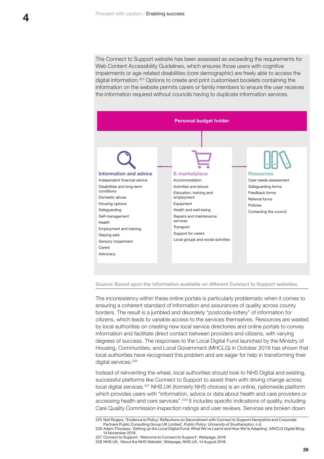The Connect to Support website has been assessed as exceeding the requirements for Web Content Accessibility Guidelines, which ensures those users with cognitive impairments or age-related disabilities (core demographic) are freely able to access the digital information.225 Options to create and print customised booklets containing the information on the website permits carers or family members to ensure the user receives the information required without councils having to duplicate information services.



#### **Source: Based upon the information available on different Connect to Support websites**

The inconsistency within these online portals is particularly problematic when it comes to ensuring a coherent standard of information and assurances of quality across county borders. The result is a jumbled and disorderly "postcode-lottery" of information for citizens, which leads to variable access to the services themselves. Resources are wasted by local authorities on creating new local service directories and online portals to convey information and facilitate direct contact between providers and citizens, with varying degrees of success. The responses to the Local Digital Fund launched by the Ministry of Housing, Communities, and Local Government (MHCLG) in October 2018 has shown that local authorities have recognised this problem and are eager for help in transforming their digital services.<sup>226</sup>

Instead of reinventing the wheel, local authorities should look to NHS Digital and existing, successful platforms like Connect to Support to assist them with driving change across local digital services.227 [NHS.UK](http://NHS.UK) (formerly NHS choices) is an online, nationwide platform which provides users with "information, advice or data about health and care providers or accessing health and care services".<sup>228</sup> It includes specific indications of quality, including Care Quality Commission inspection ratings and user reviews. Services are broken down

<sup>225</sup> Neil Rogers, 'Evidence to Policy: Reflections on Secondment with Connect to Support Hampshire and Corporate Partners Public Consulting Group UK Limited', *Public Policy: University of Southampton*, n.d. 226 Adam Thoulass, 'Setting up the Local Digital Fund: What We've Learnt and How We're Adapting', *MHCLG Digital Blog*,

<sup>14</sup> November 2018.

<sup>227</sup> Connect to Support, 'Welcome to Connect to Support', Webpage, 2018 228 [NHS.UK,](http://NHS.UK) 'About the NHS Website', Webpage, [NHS.UK](http://NHS.UK), 14 August 2018.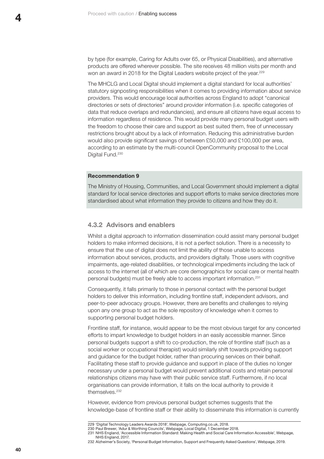<span id="page-41-0"></span>by type (for example, Caring for Adults over 65, or Physical Disabilities), and alternative products are offered wherever possible. The site receives 48 million visits per month and won an award in 2018 for the Digital Leaders website project of the year.<sup>229</sup>

The MHCLG and Local Digital should implement a digital standard for local authorities' statutory signposting responsibilities when it comes to providing information about service providers. This would encourage local authorities across England to adopt "canonical directories or sets of directories" around provider information (i.e. specific categories of data that reduce overlaps and redundancies), and ensure all citizens have equal access to information regardless of residence. This would provide many personal budget users with the freedom to choose their care and support as best suited them, free of unnecessary restrictions brought about by a lack of information. Reducing this administrative burden would also provide significant savings of between £50,000 and £100,000 per area, according to an estimate by the multi-council OpenCommunity proposal to the Local Digital Fund.<sup>230</sup>

#### **Recommendation 9**

The Ministry of Housing, Communities, and Local Government should implement a digital standard for local service directories and support efforts to make service directories more standardised about what information they provide to citizens and how they do it.

## **4.3.2 Advisors and enablers**

Whilst a digital approach to information dissemination could assist many personal budget holders to make informed decisions, it is not a perfect solution. There is a necessity to ensure that the use of digital does not limit the ability of those unable to access information about services, products, and providers digitally. Those users with cognitive impairments, age-related disabilities, or technological impediments including the lack of access to the internet (all of which are core demographics for social care or mental health personal budgets) must be freely able to access important information.231

Consequently, it falls primarily to those in personal contact with the personal budget holders to deliver this information, including frontline staff, independent advisors, and peer-to-peer advocacy groups. However, there are benefits and challenges to relying upon any one group to act as the sole repository of knowledge when it comes to supporting personal budget holders.

Frontline staff, for instance, would appear to be the most obvious target for any concerted efforts to impart knowledge to budget holders in an easily accessible manner. Since personal budgets support a shift to co-production, the role of frontline staff (such as a social worker or occupational therapist) would similarly shift towards providing support and guidance for the budget holder, rather than procuring services on their behalf. Facilitating these staff to provide guidance and support in place of the duties no longer necessary under a personal budget would prevent additional costs and retain personal relationships citizens may have with their public service staff. Furthermore, if no local organisations can provide information, it falls on the local authority to provide it themselves.232

However, evidence from previous personal budget schemes suggests that the knowledge-base of frontline staff or their ability to disseminate this information is currently

230 Paul Brewer, 'Adur & Worthing Councils', Webpage, Local Digital, 1 December 2018.

<sup>229 &#</sup>x27;Digital Technology Leaders Awards 2018', Webpage, [Computing.co.uk](http://Computing.co.uk), 2018.

<sup>231</sup> NHS England, 'Accessible Information Standard: Making Health and Social Care Information Accessible', Webpage, NHS England, 2017.

<sup>232</sup> Alzheimer's Society, 'Personal Budget Information, Support and Frequently Asked Questions', Webpage, 2019.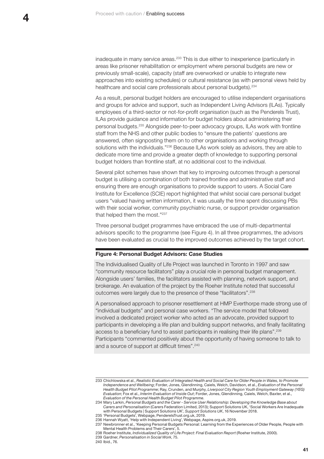inadequate in many service areas.<sup>233</sup> This is due either to inexperience (particularly in areas like prisoner rehabilitation or employment where personal budgets are new or previously small-scale), capacity (staff are overworked or unable to integrate new approaches into existing schedules) or cultural resistance (as with personal views held by healthcare and social care professionals about personal budgets).<sup>234</sup>

As a result, personal budget holders are encouraged to utilise independent organisations and groups for advice and support, such as Independent Living Advisors (ILAs). Typically employees of a third-sector or not-for-profit organisation (such as the Penderels Trust), ILAs provide guidance and information for budget holders about administering their personal budgets.235 Alongside peer-to-peer advocacy groups, ILAs work with frontline staff from the NHS and other public bodies to "ensure the patients' questions are answered, often signposting them on to other organisations and working through solutions with the individuals."<sup>236</sup> Because ILAs work solely as advisors, they are able to dedicate more time and provide a greater depth of knowledge to supporting personal budget holders than frontline staff, at no additional cost to the individual.

Several pilot schemes have shown that key to improving outcomes through a personal budget is utilising a combination of both trained frontline and administrative staff and ensuring there are enough organisations to provide support to users. A Social Care Institute for Excellence (SCIE) report highlighted that whilst social care personal budget users "valued having written information, it was usually the time spent discussing PBs with their social worker, community psychiatric nurse, or support provider organisation that helped them the most."<sup>237</sup>

Three personal budget programmes have embraced the use of multi-departmental advisors specific to the programme (see Figure 4). In all three programmes, the advisors have been evaluated as crucial to the improved outcomes achieved by the target cohort.

#### **Figure 4: Personal Budget Advisors: Case Studies**

The Individualised Quality of Life Project was launched in Toronto in 1997 and saw "community resource facilitators" play a crucial role in personal budget management. Alongside users' families, the facilitators assisted with planning, network support, and brokerage. An evaluation of the project by the Roeher Institute noted that successful outcomes were largely due to the presence of these "facilitators".<sup>238</sup>

A personalised approach to prisoner resettlement at HMP Everthorpe made strong use of "individual budgets" and personal case workers. "The service model that followed involved a dedicated project worker who acted as an advocate, provided support to participants in developing a life plan and building support networks, and finally facilitating access to a beneficiary fund to assist participants in realising their life plans".<sup>239</sup> Participants "commented positively about the opportunity of having someone to talk to and a source of support at difficult times".<sup>240</sup>

240 Ibid., 76.

<sup>233</sup> Chichlowska et al., *Realistic Evaluation of Integrated Health and Social Care for Older People in Wales, to Promote Independence and Wellbeing*; Forder, Jones, Glendinning, Caiels, Welch, Davidson, et al., *Evaluation of the Personal Health Budget Pilot Programme*; Ray, Crunden, and Murphy, *Liverpool City Region Youth Employment Gateway (YEG) Evaluation*; Fox et al., *Interim Evaluation of Inside Out*; Forder, Jones, Glendinning, Caiels, Welch, Baxter, et al., *Evaluation of the Personal Health Budget Pilot Programme*.

<sup>234</sup> Mary Larkin, *Personal Budgets and the Carer - Service User Relationship: Developing the Knowledge Base about Carers and Personalisation* (Carers Federation Limited, 2013); Support Solutions UK, 'Social Workers Are Inadequate with Personal Budgets | Support Solutions UK', *Support Solutions UK*, 16 November 2018. 235 'Personal Budgets', Webpage, [PenderelsTrust.org.uk](http://PenderelsTrust.org.uk), 2019.

<sup>236</sup> Hannah Wyatt, 'Help with Independent Living', Webpage, [Aspire.org.uk](http://Aspire.org.uk), 2019.

<sup>237</sup> Newbronner et al., 'Keeping Personal Budgets Personal: Learning from the Experiences of Older People, People with Mental Health Problems and Their Carers', 5.

<sup>238</sup> Roeher Institute, *Individualized Quality of Life Project: Final Evaluation Report* (Roeher Institute, 2000). 239 Gardner, *Personalisation in Social Work*, 75.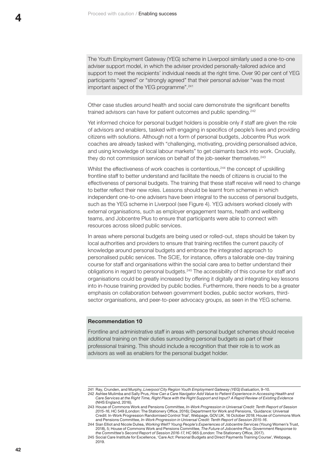The Youth Employment Gateway (YEG) scheme in Liverpool similarly used a one-to-one adviser support model, in which the adviser provided personally-tailored advice and support to meet the recipients' individual needs at the right time. Over 90 per cent of YEG participants "agreed" or "strongly agreed" that their personal adviser "was the most important aspect of the YEG programme".<sup>241</sup>

Other case studies around health and social care demonstrate the significant benefits trained advisors can have for patient outcomes and public spending.<sup>242</sup>

Yet informed choice for personal budget holders is possible only if staff are given the role of advisors and enablers, tasked with engaging in specifics of people's lives and providing citizens with solutions. Although not a form of personal budgets, Jobcentre Plus work coaches are already tasked with "challenging, motivating, providing personalised advice, and using knowledge of local labour markets" to get claimants back into work. Crucially, they do not commission services on behalf of the job-seeker themselves.<sup>243</sup>

Whilst the effectiveness of work coaches is contentious,<sup>244</sup> the concept of upskilling frontline staff to better understand and facilitate the needs of citizens is crucial to the effectiveness of personal budgets. The training that these staff receive will need to change to better reflect their new roles. Lessons should be learnt from schemes in which independent one-to-one advisers have been integral to the success of personal budgets, such as the YEG scheme in Liverpool (see Figure 4). YEG advisers worked closely with external organisations, such as employer engagement teams, health and wellbeing teams, and Jobcentre Plus to ensure that participants were able to connect with resources across siloed public services.

In areas where personal budgets are being used or rolled-out, steps should be taken by local authorities and providers to ensure that training rectifies the current paucity of knowledge around personal budgets and embrace the integrated approach to personalised public services. The SCIE, for instance, offers a tailorable one-day training course for staff and organisations within the social care area to better understand their obligations in regard to personal budgets.245 The accessibility of this course for staff and organisations could be greatly increased by offering it digitally and integrating key lessons into in-house training provided by public bodies. Furthermore, there needs to be a greater emphasis on collaboration between government bodies, public sector workers, thirdsector organisations, and peer-to-peer advocacy groups, as seen in the YEG scheme.

#### **Recommendation 10**

Frontline and administrative staff in areas with personal budget schemes should receive additional training on their duties surrounding personal budgets as part of their professional training. This should include a recognition that their role is to work as advisors as well as enablers for the personal budget holder.

<sup>241</sup> Ray, Crunden, and Murphy, *Liverpool City Region Youth Employment Gateway (YEG) Evaluation*, 9–10.

<sup>242</sup> Ashlee Mulimba and Sally Prus, *How Can a Care Navigator Add Value to Patient Experience in Accessing Health and Care Services at the Right Time, Right Place with the Right Support and Input? A Rapid Review of Existing Evidence* (NHS England, 2016).

<sup>243</sup> House of Commons Work and Pensions Committee, *In-Work Progression in Universal Credit: Tenth Report of Session 2015-16*, HC 549 (London: The Stationery Office, 2016); Department for Work and Pensions, 'Guidance: Universal Credit: In-Work Progression Randomised Control Trial', Webpage, [GOV.UK,](http://GOV.UK) 16 October 2018; House of Commons Work and Pensions Committee, *In-Work Progression in Universal Credit: Tenth Report of Session 2015-16*.

<sup>244</sup> Sian Elliot and Nicole Duliea, *Working Well? Young People's Experiences of Jobcentre Services* (Young Women's Trust, 2018), 5; House of Commons Work and Pensions Committee, *The Future of Jobcentre Plus: Government Response to the Committee's Second Report of Session 2016-17*, HC 965 (London: The Stationery Office, 2017).

<sup>245</sup> Social Care Institute for Excellence, 'Care Act: Personal Budgets and Direct Payments Training Course', Webpage, 2019.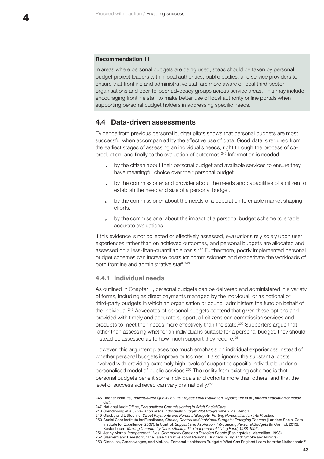## <span id="page-44-0"></span>**Recommendation 11**

In areas where personal budgets are being used, steps should be taken by personal budget project leaders within local authorities, public bodies, and service providers to ensure that frontline and administrative staff are more aware of local third-sector organisations and peer-to-peer advocacy groups across service areas. This may include encouraging frontline staff to make better use of local authority online portals when supporting personal budget holders in addressing specific needs.

## **4.4 Data-driven assessments**

Evidence from previous personal budget pilots shows that personal budgets are most successful when accompanied by the effective use of data. Good data is required from the earliest stages of assessing an individual's needs, right through the process of coproduction, and finally to the evaluation of outcomes.246 Information is needed:

- **<sup>&</sup>gt;** by the citizen about their personal budget and available services to ensure they have meaningful choice over their personal budget.
- **<sup>&</sup>gt;** by the commissioner and provider about the needs and capabilities of a citizen to establish the need and size of a personal budget.
- **<sup>&</sup>gt;** by the commissioner about the needs of a population to enable market shaping efforts.
- **<sup>&</sup>gt;** by the commissioner about the impact of a personal budget scheme to enable accurate evaluations.

If this evidence is not collected or effectively assessed, evaluations rely solely upon user experiences rather than on achieved outcomes, and personal budgets are allocated and assessed on a less-than-quantifiable basis.247 Furthermore, poorly implemented personal budget schemes can increase costs for commissioners and exacerbate the workloads of both frontline and administrative staff.<sup>248</sup>

### **4.4.1 Individual needs**

As outlined in Chapter 1, personal budgets can be delivered and administered in a variety of forms, including as direct payments managed by the individual, or as notional or third-party budgets in which an organisation or council administers the fund on behalf of the individual.249 Advocates of personal budgets contend that given these options and provided with timely and accurate support, all citizens can commission services and products to meet their needs more effectively than the state.250 Supporters argue that rather than assessing whether an individual is suitable for a personal budget, they should instead be assessed as to how much support they require.<sup>251</sup>

However, this argument places too much emphasis on individual experiences instead of whether personal budgets improve outcomes. It also ignores the substantial costs involved with providing extremely high levels of support to specific individuals under a personalised model of public services.252 The reality from existing schemes is that personal budgets benefit some individuals and cohorts more than others, and that the level of success achieved can vary dramatically.<sup>253</sup>

**43**

<sup>246</sup> Roeher Institute, *Individualized Quality of Life Project: Final Evaluation Report*; Fox et al., *Interim Evaluation of Inside Out*.

<sup>247</sup> National Audit Office, *Personalised Commissioning in Adult Social Care*.

<sup>248</sup> Glendinning et al., *Evaluation of the Individuals Budget Pilot Programme: Final Report*.

<sup>249</sup> Glasby and Littlechild, *Direct Payments and Personal Budgets: Putting Personalisation into Practice*. 250 Social Care Institute for Excellence, *Choice, Control and Individual Budgets: Emerging Themes* (London: Social Care Institute for Excellence, 2007); In Control, *Support and Aspiration: Introducing Personal Budgets* (In Control, 2013);

Kestenbaum, *Making Community Care a Reality: The Independent Living Fund, 1988-1993*. 251 Jenny Morris, *Independent Lives: Community Care and Disabled People* (Basingstoke: Macmillan, 1993).

<sup>252</sup> Slasberg and Beresford, 'The False Narrative about Personal Budgets in England: Smoke and Mirrors?'

<sup>253</sup> Ginneken, Groenewegen, and McKee, 'Personal Healthcare Budgets: What Can England Learn from the Netherlands?'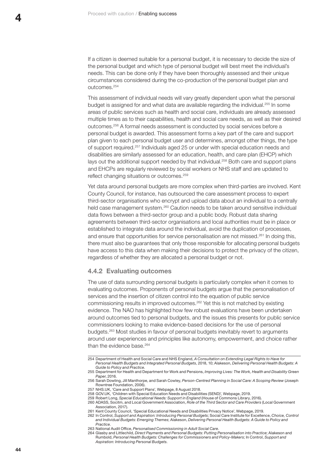<span id="page-45-0"></span>If a citizen is deemed suitable for a personal budget, it is necessary to decide the size of the personal budget and which type of personal budget will best meet the individual's needs. This can be done only if they have been thoroughly assessed and their unique circumstances considered during the co-production of the personal budget plan and outcomes.254

This assessment of individual needs will vary greatly dependent upon what the personal budget is assigned for and what data are available regarding the individual.<sup>255</sup> In some areas of public services such as health and social care, individuals are already assessed multiple times as to their capabilities, health and social care needs, as well as their desired outcomes.256 A formal needs assessment is conducted by social services before a personal budget is awarded. This assessment forms a key part of the care and support plan given to each personal budget user and determines, amongst other things, the type of support required.257 Individuals aged 25 or under with special education needs and disabilities are similarly assessed for an education, health, and care plan (EHCP) which lays out the additional support needed by that individual.<sup>258</sup> Both care and support plans and EHCPs are regularly reviewed by social workers or NHS staff and are updated to reflect changing situations or outcomes.<sup>259</sup>

Yet data around personal budgets are more complex when third-parties are involved. Kent County Council, for instance, has outsourced the care assessment process to expert third-sector organisations who encrypt and upload data about an individual to a centrally held case management system.260 Caution needs to be taken around sensitive individual data flows between a third-sector group and a public body. Robust data sharing agreements between third-sector organisations and local authorities must be in place or established to integrate data around the individual, avoid the duplication of processes, and ensure that opportunities for service personalisation are not missed.<sup>261</sup> In doing this, there must also be guarantees that only those responsible for allocating personal budgets have access to this data when making their decisions to protect the privacy of the citizen, regardless of whether they are allocated a personal budget or not.

## **4.4.2 Evaluating outcomes**

The use of data surrounding personal budgets is particularly complex when it comes to evaluating outcomes. Proponents of personal budgets argue that the personalisation of services and the insertion of citizen control into the equation of public service commissioning results in improved outcomes.262 Yet this is not matched by existing evidence. The NAO has highlighted how few robust evaluations have been undertaken around outcomes tied to personal budgets, and the issues this presents for public service commissioners looking to make evidence-based decisions for the use of personal budgets.263 Most studies in favour of personal budgets inevitably revert to arguments around user experiences and principles like autonomy, empowerment, and choice rather than the evidence base.<sup>264</sup>

258 [GOV.UK](http://GOV.UK), 'Children with Special Education Needs and Disabilities (SEND)', Webpage, 2019. 259 Robert Long, *Special Educational Needs: Support in England* (House of Commons Library, 2016).

<sup>254</sup> Department of Health and Social Care and NHS England, *A Consultation on Extending Legal Rights to Have for Personal Health Budgets and Integrated Personal Budgets*, 2018, 10; Alakeson, *Delivering Personal Health Budgets: A Guide to Policy and Practice*.

<sup>255</sup> Department for Health and Department for Work and Pensions, *Improving Lives: The Work, Health and Disability Green Paper*, 2016.

<sup>256</sup> Sarah Dowling, Jill Manthorpe, and Sarah Cowley, *Person-Centred Planning in Social Care: A Scoping Review* (Joseph Rowntree Foundation, 2006).

<sup>257</sup> [NHS.UK,](http://NHS.UK) 'Care and Support Plans', Webpage, 8 August 2018.

<sup>260</sup> ADASS, Socitm, and Local Government Association, *Role of the Third Sector and Care Providers* (Local Government Association, 2017).

<sup>261</sup> Kent County Council, 'Special Educational Needs and Disabilities Privacy Notice', Webpage, 2019.

<sup>262</sup> In Control, *Support and Aspiration: Introducing Personal Budgets*; Social Care Institute for Excellence, *Choice, Control* 

*and Individual Budgets: Emerging Themes*; Alakeson, *Delivering Personal Health Budgets: A Guide to Policy and Practice*. 263 National Audit Office, *Personalised Commissioning in Adult Social Care*.

<sup>264</sup> Glasby and Littlechild, *Direct Payments and Personal Budgets: Putting Personalisation into Practice*; Alakeson and Rumbold, *Personal Health Budgets: Challenges for Commissioners and Policy-Makers*; In Control, *Support and Aspiration: Introducing Personal Budgets*.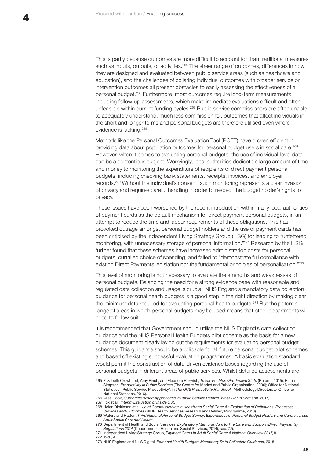This is partly because outcomes are more difficult to account for than traditional measures such as inputs, outputs, or activities.<sup>265</sup> The sheer range of outcomes, differences in how they are designed and evaluated between public service areas (such as healthcare and education), and the challenges of collating individual outcomes with broader service or intervention outcomes all present obstacles to easily assessing the effectiveness of a personal budget.266 Furthermore, most outcomes require long-term measurements, including follow-up assessments, which make immediate evaluations difficult and often unfeasible within current funding cycles.267 Public service commissioners are often unable to adequately understand, much less commission for, outcomes that affect individuals in the short and longer terms and personal budgets are therefore utilised even where evidence is lacking.268

Methods like the Personal Outcomes Evaluation Tool (POET) have proven efficient in providing data about population outcomes for personal budget users in social care.269 However, when it comes to evaluating personal budgets, the use of individual-level data can be a contentious subject. Worryingly, local authorities dedicate a large amount of time and money to monitoring the expenditure of recipients of direct payment personal budgets, including checking bank statements, receipts, invoices, and employer records.270 Without the individual's consent, such monitoring represents a clear invasion of privacy and requires careful handling in order to respect the budget holder's rights to privacy.

These issues have been worsened by the recent introduction within many local authorities of payment cards as the default mechanism for direct payment personal budgets, in an attempt to reduce the time and labour requirements of these obligations. This has provoked outrage amongst personal budget holders and the use of payment cards has been criticised by the Independent Living Strategy Group (ILSG) for leading to "unfettered monitoring, with unnecessary storage of personal information."271 Research by the ILSG further found that these schemes have increased administration costs for personal budgets, curtailed choice of spending, and failed to "demonstrate full compliance with existing Direct Payments legislation nor the fundamental principles of personalisation."<sup>272</sup>

This level of monitoring is not necessary to evaluate the strengths and weaknesses of personal budgets. Balancing the need for a strong evidence base with reasonable and regulated data collection and usage is crucial. NHS England's mandatory data collection guidance for personal health budgets is a good step in the right direction by making clear the minimum data required for evaluating personal health budgets.<sup>273</sup> But the potential range of areas in which personal budgets may be used means that other departments will need to follow suit.

It is recommended that Government should utilise the NHS England's data collection guidance and the NHS Personal Health Budgets pilot scheme as the basis for a new guidance document clearly laying out the requirements for evaluating personal budget schemes. This guidance should be applicable for all future personal budget pilot schemes and based off existing successful evaluation programmes. A basic evaluation standard would permit the construction of data-driven evidence bases regarding the use of personal budgets in different areas of public services. Whilst detailed assessments are

- 271 Independent Living Strategy Group, *Payment Cards in Adult Social Care: A National Overview 2017*, 8.
- 272 Ibid., 9.
- 273 NHS England and NHS Digital, *Personal Health Budgets Mandatory Data Collection Guidance*, 2018.

<sup>265</sup> Elizabeth Crowhurst, Amy Finch, and Eleonora Harwich, *Towards a More Productive State* (Reform, 2015); Helen Simpson, *Productivity in Public Services* (The Centre for Market and Public Organisation, 2006); Office for National Statistics, 'Public Service Productivity', in *The ONS Productivity Handbook*, Methodology Directorate (Office for National Statistics, 2016).

<sup>266</sup> Ailsa Cook, *Outcomes Based Approaches in Public Service Reform* (What Works Scotland, 2017). 267 Fox et al., *Interim Evaluation of Inside Out*.

<sup>268</sup> Helen Dickinson et al., *Joint Commissioning in Health and Social Care: An Exploration of Definitions, Processes,* 

*Services and Outcomes* (NIHR Health Services Research and Delivery Programme, 2013).

<sup>269</sup> Waters and Hatton, *Third National Personal Budget Survey: Experiences of Personal Budget Holders and Carers across Adult Social Care and Health*.

<sup>270</sup> Department of Health and Social Services, *Explanatory Memorandum to The Care and Support (Direct Payments) Regulations 2014* (Department of Health and Social Services, 2014), sec. 7.5.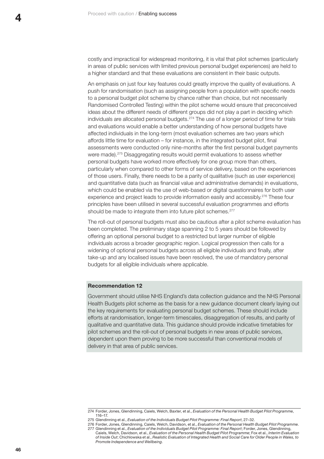costly and impractical for widespread monitoring, it is vital that pilot schemes (particularly in areas of public services with limited previous personal budget experiences) are held to a higher standard and that these evaluations are consistent in their basic outputs.

An emphasis on just four key features could greatly improve the quality of evaluations. A push for randomisation (such as assigning people from a population with specific needs to a personal budget pilot scheme by chance rather than choice, but not necessarily Randomised Controlled Testing) within the pilot scheme would ensure that preconceived ideas about the different needs of different groups did not play a part in deciding which individuals are allocated personal budgets.274 The use of a longer period of time for trials and evaluations would enable a better understanding of how personal budgets have affected individuals in the long-term (most evaluation schemes are two years which affords little time for evaluation – for instance, in the integrated budget pilot, final assessments were conducted only nine-months after the first personal budget payments were made).275 Disaggregating results would permit evaluations to assess whether personal budgets have worked more effectively for one group more than others, particularly when compared to other forms of service delivery, based on the experiences of those users. Finally, there needs to be a parity of qualitative (such as user experience) and quantitative data (such as financial value and administrative demands) in evaluations, which could be enabled via the use of web-based or digital questionnaires for both user experience and project leads to provide information easily and accessibly.276 These four principles have been utilised in several successful evaluation programmes and efforts should be made to integrate them into future pilot schemes.<sup>277</sup>

The roll-out of personal budgets must also be cautious after a pilot scheme evaluation has been completed. The preliminary stage spanning 2 to 5 years should be followed by offering an optional personal budget to a restricted but larger number of eligible individuals across a broader geographic region. Logical progression then calls for a widening of optional personal budgets across all eligible individuals and finally, after take-up and any localised issues have been resolved, the use of mandatory personal budgets for all eligible individuals where applicable.

#### **Recommendation 12**

Government should utilise NHS England's data collection guidance and the NHS Personal Health Budgets pilot scheme as the basis for a new guidance document clearly laying out the key requirements for evaluating personal budget schemes. These should include efforts at randomisation, longer-term timescales, disaggregation of results, and parity of qualitative and quantitative data. This guidance should provide indicative timetables for pilot schemes and the roll-out of personal budgets in new areas of public services, dependent upon them proving to be more successful than conventional models of delivery in that area of public services.

<sup>274</sup> Forder, Jones, Glendinning, Caiels, Welch, Baxter, et al., *Evaluation of the Personal Health Budget Pilot Programme*, 116–17.

<sup>275</sup> Glendinning et al., *Evaluation of the Individuals Budget Pilot Programme: Final Report*, 27–32.

<sup>276</sup> Forder, Jones, Glendinning, Caiels, Welch, Davidson, et al., *Evaluation of the Personal Health Budget Pilot Programme*. 277 Glendinning et al., *Evaluation of the Individuals Budget Pilot Programme: Final Report*; Forder, Jones, Glendinning, Caiels, Welch, Davidson, et al., *Evaluation of the Personal Health Budget Pilot Programme*; Fox et al., *Interim Evaluation* 

*of Inside Out*; Chichlowska et al., *Realistic Evaluation of Integrated Health and Social Care for Older People in Wales, to Promote Independence and Wellbeing*.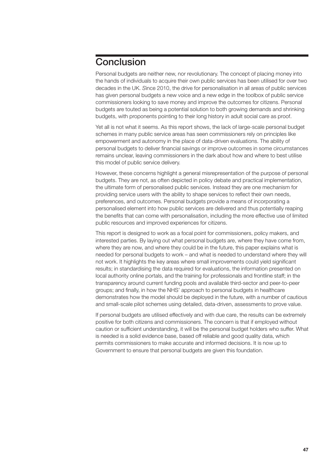# <span id="page-48-0"></span>**Conclusion**

Personal budgets are neither new, nor revolutionary. The concept of placing money into the hands of individuals to acquire their own public services has been utilised for over two decades in the UK. *S*ince 2010, the drive for personalisation in all areas of public services has given personal budgets a new voice and a new edge in the toolbox of public service commissioners looking to save money and improve the outcomes for citizens. Personal budgets are touted as being a potential solution to both growing demands and shrinking budgets, with proponents pointing to their long history in adult social care as proof.

Yet all is not what it seems. As this report shows, the lack of large-scale personal budget schemes in many public service areas has seen commissioners rely on principles like empowerment and autonomy in the place of data-driven evaluations. The ability of personal budgets to deliver financial savings or improve outcomes in some circumstances remains unclear, leaving commissioners in the dark about how and where to best utilise this model of public service delivery.

However, these concerns highlight a general misrepresentation of the purpose of personal budgets. They are not, as often depicted in policy debate and practical implementation, the ultimate form of personalised public services. Instead they are one mechanism for providing service users with the ability to shape services to reflect their own needs, preferences, and outcomes. Personal budgets provide a means of incorporating a personalised element into how public services are delivered and thus potentially reaping the benefits that can come with personalisation, including the more effective use of limited public resources and improved experiences for citizens.

This report is designed to work as a focal point for commissioners, policy makers, and interested parties. By laying out what personal budgets are, where they have come from, where they are now, and where they could be in the future, this paper explains what is needed for personal budgets to work – and what is needed to understand where they will not work. It highlights the key areas where small improvements could yield significant results; in standardising the data required for evaluations, the information presented on local authority online portals, and the training for professionals and frontline staff; in the transparency around current funding pools and available third-sector and peer-to-peer groups; and finally, in how the NHS' approach to personal budgets in healthcare demonstrates how the model should be deployed in the future, with a number of cautious and small-scale pilot schemes using detailed, data-driven, assessments to prove value.

If personal budgets are utilised effectively and with due care, the results can be extremely positive for both citizens and commissioners. The concern is that if employed without caution or sufficient understanding, it will be the personal budget holders who suffer. What is needed is a solid evidence base, based off reliable and good quality data, which permits commissioners to make accurate and informed decisions. It is now up to Government to ensure that personal budgets are given this foundation.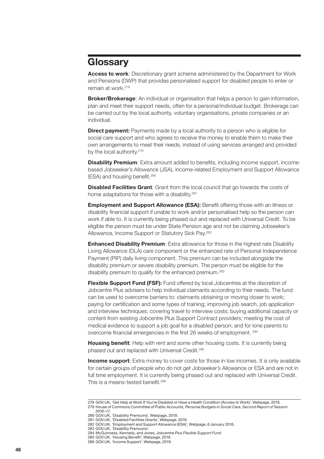# <span id="page-49-0"></span>**Glossary**

**Access to work**: Discretionary grant scheme administered by the Department for Work and Pensions (DWP) that provides personalised support for disabled people to enter or remain at work.278

**Broker/Brokerage**: An individual or organisation that helps a person to gain information, plan and meet their support needs, often for a personal/individual budget. Brokerage can be carried out by the local authority, voluntary organisations, private companies or an individual.

**Direct payment:** Payments made by a local authority to a person who is eligible for social care support and who agrees to receive the money to enable them to make their own arrangements to meet their needs, instead of using services arranged and provided by the local authority.<sup>279</sup>

**Disability Premium**: Extra amount added to benefits, including income support, incomebased Jobseeker's Allowance (JSA), income-related Employment and Support Allowance (ESA) and housing benefit.<sup>280</sup>

**Disabled Facilities Grant**: Grant from the local council that go towards the costs of home adaptations for those with a disability.<sup>281</sup>

**Employment and Support Allowance (ESA):** Benefit offering those with an illness or disability financial support if unable to work and/or personalised help so the person can work if able to. It is currently being phased out and replaced with Universal Credit. To be eligible the person must be under State Pension age and not be claiming Jobseeker's Allowance, Income Support or Statutory Sick Pay.282

**Enhanced Disability Premium**: Extra allowance for those in the highest rate Disability Living Allowance (DLA) care component or the enhanced rate of Personal Independence Payment (PIP) daily living component. This premium can be included alongside the disability premium or severe disability premium. The person must be eligible for the disability premium to qualify for the enhanced premium.<sup>283</sup>

**Flexible Support Fund (FSF):** Fund offered by local Jobcentres at the discretion of Jobcentre Plus advisers to help individual claimants according to their needs. The fund can be used to overcome barriers to: claimants obtaining or moving closer to work; paying for certification and some types of training; improving job search, job application and interview techniques; covering travel to interview costs; buying additional capacity or content from existing Jobcentre Plus Support Contract providers; meeting the cost of medical evidence to support a job goal for a disabled person; and for lone parents to overcome financial emergencies in the first 26 weeks of employment. <sup>284</sup>

**Housing benefit**: Help with rent and some other housing costs. It is currently being phased out and replaced with Universal Credit.285

**Income support**: Extra money to cover costs for those in low incomes. It is only available for certain groups of people who do not get Jobseeker's Allowance or ESA and are not in full time employment. It is currently being phased out and replaced with Universal Credit. This is a means-tested benefit.<sup>286</sup>

<sup>278</sup> [GOV.UK](http://GOV.UK), 'Get Help at Work If You're Disabled or Have a Health Condition (Access to Work)', Webpage, 2019. 279 House of Commons Committee of Public Accounts, *Personal Budgets in Social Care, Second Report of Session 2016–17*.

<sup>280</sup> [GOV.UK](http://GOV.UK), 'Disability Premiums', Webpage, 2019.

<sup>281</sup> [GOV.UK](http://GOV.UK), 'Disabled Facilities Grants', Webpage, 2019.

<sup>282</sup> [GOV.UK](http://GOV.UK), 'Employment and Support Allowance (ESA)', Webpage, 6 January 2016.

<sup>283</sup> [GOV.UK](http://GOV.UK), 'Disability Premiums'.

<sup>284</sup> McGuinness, Kennedy, and Jones, *Jobcentre Plus Flexible Support Fund*. 285 [GOV.UK](http://GOV.UK), 'Housing Benefit', Webpage, 2019.

<sup>286</sup> [GOV.UK](http://GOV.UK), 'Income Support', Webpage, 2019.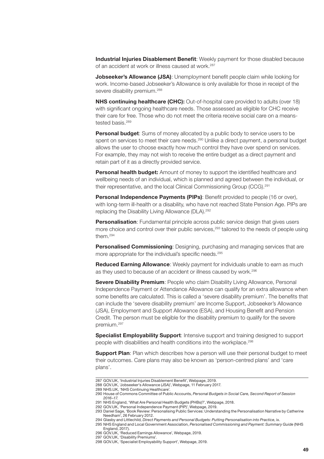**Industrial Injuries Disablement Benefit**: Weekly payment for those disabled because of an accident at work or illness caused at work.<sup>287</sup>

**Jobseeker's Allowance (JSA)**: Unemployment benefit people claim while looking for work. Income-based Jobseeker's Allowance is only available for those in receipt of the severe disability premium.<sup>288</sup>

**NHS continuing healthcare (CHC):** Out-of-hospital care provided to adults (over 18) with significant ongoing healthcare needs. Those assessed as eligible for CHC receive their care for free. Those who do not meet the criteria receive social care on a meanstested basis.<sup>289</sup>

**Personal budget:** Sums of money allocated by a public body to service users to be spent on services to meet their care needs. 290 Unlike a direct payment, a personal budget allows the user to choose exactly how much control they have over spend on services. For example, they may not wish to receive the entire budget as a direct payment and retain part of it as a directly provided service.

**Personal health budget:** Amount of money to support the identified healthcare and wellbeing needs of an individual, which is planned and agreed between the individual, or their representative, and the local Clinical Commissioning Group (CCG).291

**Personal Independence Payments (PIPs)**: Benefit provided to people (16 or over), with long-term ill-health or a disability, who have not reached State Pension Age. PIPs are replacing the Disability Living Allowance (DLA).<sup>292</sup>

**Personalisation**: Fundamental principle across public service design that gives users more choice and control over their public services,<sup>293</sup> tailored to the needs of people using them.294

**Personalised Commissioning**: Designing, purchasing and managing services that are more appropriate for the individual's specific needs.<sup>295</sup>

**Reduced Earning Allowance**: Weekly payment for individuals unable to earn as much as they used to because of an accident or illness caused by work.296

**Severe Disability Premium**: People who claim Disability Living Allowance, Personal Independence Payment or Attendance Allowance can qualify for an extra allowance when some benefits are calculated. This is called a 'severe disability premium'. The benefits that can include the 'severe disability premium' are Income Support, Jobseeker's Allowance (JSA), Employment and Support Allowance (ESA), and Housing Benefit and Pension Credit. The person must be eligible for the disability premium to qualify for the severe premium.297

**Specialist Employability Support**: Intensive support and training designed to support people with disabilities and health conditions into the workplace.<sup>298</sup>

**Support Plan**: Plan which describes how a person will use their personal budget to meet their outcomes. Care plans may also be known as 'person-centred plans' and 'care plans'.

<sup>287</sup> [GOV.UK](http://GOV.UK), 'Industrial Injuries Disablement Benefit', Webpage, 2019.

<sup>288</sup> [GOV.UK](http://GOV.UK), 'Jobseeker's Allowance (JSA)', Webpage, 11 February 2017.

<sup>289</sup> [NHS.UK,](http://NHS.UK) 'NHS Continuing Healthcare'.

<sup>290</sup> House of Commons Committee of Public Accounts, *Personal Budgets in Social Care, Second Report of Session 2016–17*.

<sup>291</sup> NHS England, 'What Are Personal Health Budgets (PHBs)?', Webpage, 2018. 292 [GOV.UK](http://GOV.UK), 'Personal Independence Payment (PIP)', Webpage, 2019.

<sup>293</sup> Daniel Sage, 'Book Review: Personalising Public Services: Understanding the Personalisation Narrative by Catherine Needham', 26 February 2012.

<sup>294</sup> Glasby and Littlechild, *Direct Payments and Personal Budgets: Putting Personalisation into Practice*, ix. 295 NHS England and Local Government Association, *Personalised Commissioning and Payment: Summary Guide* (NHS England, 2017).

<sup>296</sup> [GOV.UK](http://GOV.UK), 'Reduced Earnings Allowance', Webpage, 2019.

<sup>297</sup> [GOV.UK](http://GOV.UK), 'Disability Premiums'.

<sup>298</sup> [GOV.UK](http://GOV.UK), 'Specialist Employability Support', Webpage, 2019.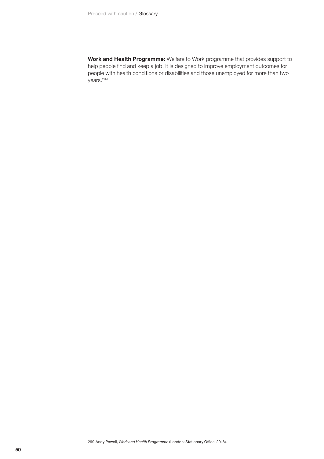**Work and Health Programme:** Welfare to Work programme that provides support to help people find and keep a job. It is designed to improve employment outcomes for people with health conditions or disabilities and those unemployed for more than two years.<sup>299</sup>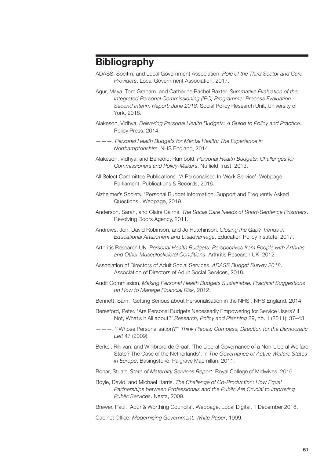# <span id="page-52-0"></span>**Bibliography**

- ADASS, Socitm, and Local Government Association. *Role of the Third Sector and Care Providers*. Local Government Association, 2017.
- Agur, Maya, Tom Graham, and Catherine Rachel Baxter. *Summative Evaluation of the Integrated Personal Commissioning (IPC) Programme: Process Evaluation - Second Interim Report: June 2018*. Social Policy Research Unit, University of York, 2018.
- Alakeson, Vidhya. *Delivering Personal Health Budgets: A Guide to Policy and Practice*. Policy Press, 2014.
- ———. *Personal Health Budgets for Mental Health: The Experience in Northamptonshire*. NHS England, 2014.
- Alakeson, Vidhya, and Benedict Rumbold. *Personal Health Budgets: Challenges for Commissioners and Policy-Makers*. Nuffield Trust, 2013.
- All Select Committee Publications. 'A Personalised In-Work Service'. Webpage. Parliament, Publications & Records, 2016.
- Alzheimer's Society. 'Personal Budget Information, Support and Frequently Asked Questions'. Webpage, 2019.
- Anderson, Sarah, and Claire Cairns. *The Social Care Needs of Short-Sentence Prisoners*. Revolving Doors Agency, 2011.
- Andrews, Jon, David Robinson, and Jo Hutchinson. *Closing the Gap? Trends in Educational Attainment and Disadvantage*. Education Policy Institute, 2017.
- Arthritis Research UK. *Personal Health Budgets. Perspectives from People with Arthritis and Other Musculoskeletal Conditions*. Arthritis Research UK, 2012.
- Association of Directors of Adult Social Services. *ADASS Budget Survey 2018*. Association of Directors of Adult Social Services, 2018.
- Audit Commission. *Making Personal Health Budgets Sustainable. Practical Suggestions on How to Manage Financial Risk*, 2012.
- Bennett, Sam. 'Getting Serious about Personalisation in the NHS'. NHS England, 2014.
- Beresford, Peter. 'Are Personal Budgets Necessarily Empowering for Service Users? If Not, What's It All about?' *Research, Policy and Planning* 29, no. 1 (2011): 37–43.
- ———. '"Whose Personalisation?"' *Think Pieces: Compass, Direction for the Democratic Left* 47 (2009).
- Berkel, Rik van, and Willibrord de Graaf. 'The Liberal Governance of a Non-Liberal Welfare State? The Case of the Netherlands'. In *The Governance of Active Welfare States in Europe*. Basingstoke: Palgrave Macmillan, 2011.
- Bonar, Stuart. *State of Maternity Services Report*. Royal College of Midwives, 2016.
- Boyle, David, and Michael Harris. *The Challenge of Co-Production: How Equal Partnerships between Professionals and the Public Are Crucial to Improving Public Services*. Nesta, 2009.
- Brewer, Paul. 'Adur & Worthing Councils'. Webpage. Local Digital, 1 December 2018.
- Cabinet Office. *Modernising Government: White Paper*, 1999.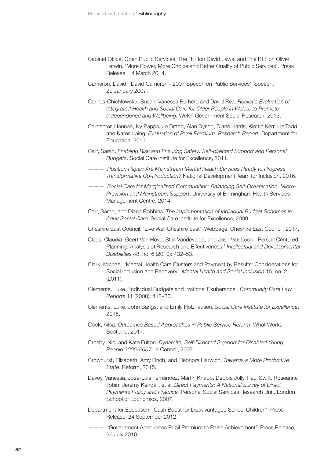- Cabinet Office, Open Public Services, The Rt Hon David Laws, and The Rt Hon Oliver Letwin. 'More Power, More Choice and Better Quality of Public Services'. Press Release, 14 March 2014.
- Cameron, David. 'David Cameron 2007 Speech on Public Services'. Speech. 29 January 2007.
- Carnes-Chichlowska, Susan, Vanessa Burholt, and David Rea. *Realistic Evaluation of Integrated Health and Social Care for Older People in Wales, to Promote Independence and Wellbeing.* Welsh Government Social Research, 2013.
- Carpenter, Hannah, Ivy Papps, Jo Bragg, Alan Dyson, Diane Harris, Kirstin Kerr, Liz Todd, and Karen Laing. *Evaluation of Pupil Premium: Research Report*. Department for Education, 2013.
- Carr, Sarah. *Enabling Risk and Ensuring Safety: Self*‐*directed Support and Personal Budgets*. Social Care Institute for Excellence, 2011.
- ———. *Position Paper: Are Mainstream Mental Health Services Ready to Progress Transformative Co-Production?* National Development Team for Inclusion, 2016.
- ———. *Social Care for Marginalised Communities: Balancing Self-Organisation, Micro-Provision and Mainstream Support*. University of Birmingham Health Services Management Centre, 2014.
- Carr, Sarah, and Diana Robbins. *The Implementation of Individual Budget Schemes in Adult Social Care*. Social Care Institute for Excellence, 2009.
- Cheshire East Council. 'Live Well Cheshire East'. Webpage. Cheshire East Council, 2017.
- Claes, Claudia, Geert Van Hove, Stijn Vandevelde, and Josh Van Loon. 'Person Centered Planning: Analysis of Research and Effectiveness.' *Intellectual and Developmental Disabilities* 48, no. 6 (2010): 432–53.
- Clark, Michael. 'Mental Health Care Clusters and Payment by Results: Considerations for Social Inclusion and Recovery'. *Mental Health and Social Inclusion* 15, no. 2 (2011).
- Clements, Luke. 'Individual Budgets and Irrational Exuberance'. *Community Care Law Reports* 11 (2008): 413–30.
- Clements, Luke, John Bangs, and Emily Holzhausen. *Social Care Institute for Excellence*, 2015.
- Cook, Ailsa. *Outcomes Based Approaches in Public Service Reform*. What Works Scotland, 2017.
- Crosby, Nic, and Kate Fulton. *Dynamite, Self-Directed Support for Disabled Young People 2005-2007*. In Control, 2007.
- Crowhurst, Elizabeth, Amy Finch, and Eleonora Harwich. *Towards a More Productive State*. Reform, 2015.
- Davey, Vanessa, José-Luis Fernández, Martin Knapp, Debbie Jolly, Paul Swift, Roseanne Tobin, Jeremy Kendall, et al. *Direct Payments: A National Survey of Direct Payments Policy and Practice.* Personal Social Services Research Unit, London School of Economics, 2007.
- Department for Education. 'Cash Boost for Disadvantaged School Children'. Press Release, 24 September 2012.
- ———. 'Government Announces Pupil Premium to Raise Achievement'. Press Release, 26 July 2010.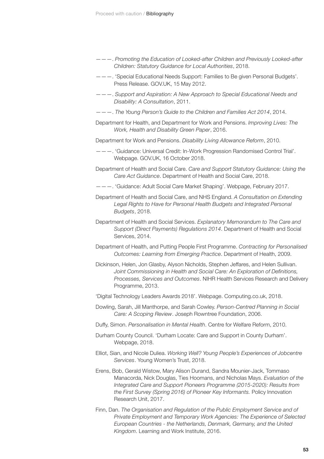- ———. *Promoting the Education of Looked-after Children and Previously Looked-after Children: Statutory Guidance for Local Authorities*, 2018.
- ———. 'Special Educational Needs Support: Families to Be given Personal Budgets'. Press Release. [GOV.UK](http://GOV.UK), 15 May 2012.
- ———. *Support and Aspiration: A New Approach to Special Educational Needs and Disability: A Consultation*, 2011.
- ———. *The Young Person's Guide to the Children and Families Act 2014*, 2014.
- Department for Health, and Department for Work and Pensions. *Improving Lives: The Work, Health and Disability Green Paper*, 2016.
- Department for Work and Pensions. *Disability Living Allowance Reform*, 2010.
- ———. 'Guidance: Universal Credit: In-Work Progression Randomised Control Trial'. Webpage. [GOV.UK,](http://GOV.UK) 16 October 2018.
- Department of Health and Social Care. *Care and Support Statutory Guidance: Using the Care Act Guidance*. Department of Health and Social Care, 2018.
- ———. 'Guidance: Adult Social Care Market Shaping'. Webpage, February 2017.
- Department of Health and Social Care, and NHS England. *A Consultation on Extending*  Legal Rights to Have for Personal Health Budgets and Integrated Personal *Budgets*, 2018.
- Department of Health and Social Services. *Explanatory Memorandum to The Care and Support (Direct Payments) Regulations 2014*. Department of Health and Social Services, 2014.
- Department of Health, and Putting People First Programme. *Contracting for Personalised Outcomes: Learning from Emerging Practice*. Department of Health, 2009.
- Dickinson, Helen, Jon Glasby, Alyson Nicholds, Stephen Jeffares, and Helen Sullivan. *Joint Commissioning in Health and Social Care: An Exploration of Definitions, Processes, Services and Outcomes*. NIHR Health Services Research and Delivery Programme, 2013.
- 'Digital Technology Leaders Awards 2018'. Webpage. [Computing.co.uk](http://Computing.co.uk), 2018.
- Dowling, Sarah, Jill Manthorpe, and Sarah Cowley. *Person-Centred Planning in Social Care: A Scoping Review*. Joseph Rowntree Foundation, 2006.
- Duffy, Simon. *Personalisation in Mental Health*. Centre for Welfare Reform, 2010.
- Durham County Council. 'Durham Locate: Care and Support in County Durham'. Webpage, 2018.
- Elliot, Sian, and Nicole Duliea. *Working Well? Young People's Experiences of Jobcentre Services*. Young Women's Trust, 2018.
- Erens, Bob, Gerald Wistow, Mary Alison Durand, Sandra Mounier-Jack, Tommaso Manacorda, Nick Douglas, Ties Hoomans, and Nicholas Mays. *Evaluation of the Integrated Care and Support Pioneers Programme (2015-2020): Results from the First Survey (Spring 2016) of Pioneer Key Informants.* Policy Innovation Research Unit, 2017.
- Finn, Dan. *The Organisation and Regulation of the Public Employment Service and of Private Employment and Temporary Work Agencies: The Experience of Selected European Countries - the Netherlands, Denmark, Germany, and the United Kingdom*. Learning and Work Institute, 2016.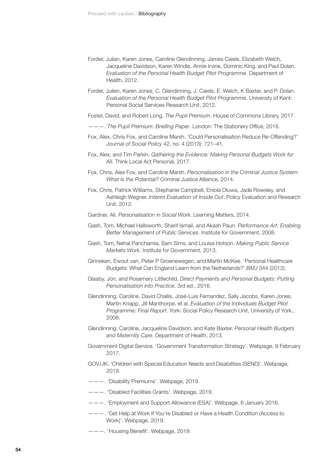- Forder, Julian, Karen Jones, Caroline Glendinning, James Caiels, Elizabeth Welch, Jacqueline Davidson, Karen Windle, Annie Irvine, Dominic King, and Paul Dolan. *Evaluation of the Personal Health Budget Pilot Programme*. Department of Health, 2012.
- Forder, Julien, Karen Jones, C. Glendinning, J. Caiels, E. Welch, K Baxter, and P. Dolan. *Evaluation of the Personal Health Budget Pilot Programme*. University of Kent: Personal Social Services Research Unit, 2012.
- Foster, David, and Robert Long. *The Pupil Premium*. House of Commons Library, 2017.
- ———. *The Pupil Premium: Briefing Paper*. London: The Stationery Office, 2018.
- Fox, Alex, Chris Fox, and Caroline Marsh. 'Could Personalisation Reduce Re-Offending?' *Journal of Social Policy* 42, no. 4 (2013): 721–41.
- Fox, Alex, and Tim Parkin. *Gathering the Evidence: Making Personal Budgets Work for All*. Think Local Act Personal, 2017.
- Fox, Chris, Alex Fox, and Caroline Marsh. *Personalisation in the Criminal Justice System: What Is the Potential?* Criminal Justice Alliance, 2014.
- Fox, Chris, Patrick Williams, Stephanie Campbell, Eniola Oluwa, Jade Rowsley, and Ashleigh Wegner. *Interim Evaluation of Inside Out*. Policy Evaluation and Research Unit, 2012.
- Gardner, Ali. *Personalisation in Social Work*. Learning Matters, 2014.
- Gash, Tom, Michael Hallsworth, Sharif Ismail, and Akash Paun. *Performance Art: Enabling Better Management of Public Services*. Institute for Government, 2008.
- Gash, Tom, Nehal Panchamia, Sam Sims, and Louisa Hotson. *Making Public Service Markets Work*. Institute for Government, 2013.
- Ginneken, Ewout van, Peter P Groenewegen, and Martin McKee. 'Personal Healthcare Budgets: What Can England Learn from the Netherlands?' *BMJ* 344 (2012).
- Glasby, Jon, and Rosemary Littlechild. *Direct Payments and Personal Budgets: Putting Personalisation into Practice*. 3rd ed., 2016.
- Glendinning, Caroline, David Challis, José-Luis Fernandez, Sally Jacobs, Karen Jones, Martin Knapp, Jill Manthorpe, et al. *Evaluation of the Individuals Budget Pilot Programme: Final Report*. York: Social Policy Research Unit, University of York., 2008.
- Glendinning, Caroline, Jacqueline Davidson, and Kate Baxter. *Personal Health Budgets and Maternity Care*. Department of Health, 2013.
- Government Digital Service. 'Government Transformation Strategy'. Webpage, 9 February 2017.
- [GOV.UK.](http://GOV.UK) 'Children with Special Education Needs and Disabilities (SEND)'. Webpage, 2019.
- ———. 'Disability Premiums'. Webpage, 2019.
- ———. 'Disabled Facilities Grants'. Webpage, 2019.
- ———. 'Employment and Support Allowance (ESA)'. Webpage, 6 January 2016.
- ———. 'Get Help at Work If You're Disabled or Have a Health Condition (Access to Work)'. Webpage, 2019.
- ———. 'Housing Benefit'. Webpage, 2019.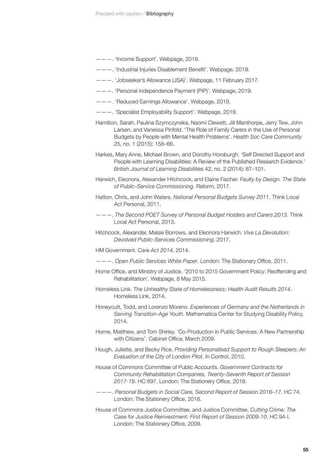- ———. 'Income Support'. Webpage, 2019.
- ———. 'Industrial Injuries Disablement Benefit'. Webpage, 2019.
- ———. 'Jobseeker's Allowance (JSA)'. Webpage, 11 February 2017.
- ———. 'Personal Independence Payment (PIP)'. Webpage, 2019.
- ———. 'Reduced Earnings Allowance'. Webpage, 2019.
- ———. 'Specialist Employability Support'. Webpage, 2019.
- Hamilton, Sarah, Paulina Szymczynska, Naomi Clewett, Jill Manthorpe, Jerry Tew, John Larsen, and Vanessa Pinfold. 'The Role of Family Carers in the Use of Personal Budgets by People with Mental Health Problems'. *Health Soc Care Community* 25, no. 1 (2015): 158–66.
- Harkes, Mary Anne, Michael Brown, and Dorothy Horsburgh. 'Self Directed Support and People with Learning Disabilities: A Review of the Published Research Evidence.' *British Journal of Learning Disabilities* 42, no. 2 (2014): 87–101.
- Harwich, Eleonora, Alexander Hitchcock, and Elaine Fischer. *Faulty by Design. The State of Public-Service Commissioning.* Reform, 2017.
- Hatton, Chris, and John Waters. *National Personal Budgets Survey 2011*. Think Local Act Personal, 2011.
- ———. *The Second POET Survey of Personal Budget Holders and Carers 2013*. Think Local Act Personal, 2013.
- Hitchcock, Alexander, Maisie Borrows, and Eleonora Harwich. *Vive La Devolution: Devolved Public-Services Commissioning*, 2017.
- HM Government. *Care Act 2014*, 2014.
- ———. *Open Public Services White Paper*. London: The Stationary Office, 2011.
- Home Office, and Ministry of Justice. '2010 to 2015 Government Policy: Reoffending and Rehabilitation'. Webpage, 8 May 2015.
- Homeless Link. *The Unhealthy State of Homelessness: Health Audit Results 2014*. Homeless Link, 2014.
- Honeycutt, Todd, and Lorenzo Moreno. *Experiences of Germany and the Netherlands in Serving Transition-Age Youth*. Mathematica Center for Studying Disability Policy, 2014.
- Horne, Matthew, and Tom Shirley. 'Co-Production in Public Services: A New Partnership with Citizens'. Cabinet Office, March 2009.
- Hough, Juliette, and Becky Rice. *Providing Personalised Support to Rough Sleepers: An Evaluation of the City of London Pilot*. In Control, 2010.
- House of Commons Committee of Public Accounts. *Government Contracts for Community Rehabilitation Companies, Twenty-Seventh Report of Session 2017-19*. HC 897. London: The Stationery Office, 2018.
- ———. *Personal Budgets in Social Care, Second Report of Session 2016–17*. HC 74. London: The Stationery Office, 2016.
- House of Commons Justice Committee, and Justice Committee. *Cutting Crime: The Case for Justice Reinvestment: First Report of Session 2009-10*. HC 94-I. London: The Stationery Office, 2009.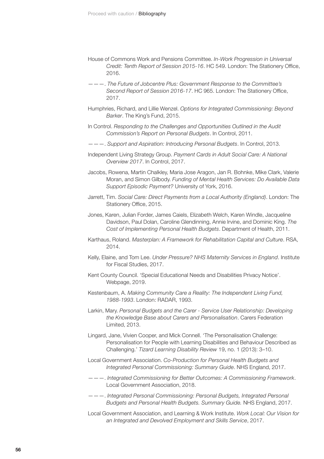- House of Commons Work and Pensions Committee. *In-Work Progression in Universal Credit: Tenth Report of Session 2015-16*. HC 549. London: The Stationery Office, 2016.
- ———. *The Future of Jobcentre Plus: Government Response to the Committee's Second Report of Session 2016-17*. HC 965. London: The Stationery Office, 2017.
- Humphries, Richard, and Lillie Wenzel. *Options for Integrated Commissioning: Beyond Barker*. The King's Fund, 2015.
- In Control. *Responding to the Challenges and Opportunities Outlined in the Audit Commission's Report on Personal Budgets*. In Control, 2011.
- ———. *Support and Aspiration: Introducing Personal Budgets*. In Control, 2013.
- Independent Living Strategy Group. *Payment Cards in Adult Social Care: A National Overview 2017*. In Control, 2017.
- Jacobs, Rowena, Martin Chalkley, Maria Jose Aragon, Jan R. Bohnke, Mike Clark, Valerie Moran, and Simon Gilbody. *Funding of Mental Health Services: Do Available Data Support Episodic Payment?* University of York, 2016.
- Jarrett, Tim. *Social Care: Direct Payments from a Local Authority (England)*. London: The Stationery Office, 2015.
- Jones, Karen, Julian Forder, James Caiels, Elizabeth Welch, Karen Windle, Jacqueline Davidson, Paul Dolan, Caroline Glendinning, Annie Irvine, and Dominic King. *The Cost of Implementing Personal Health Budgets*. Department of Health, 2011.
- Karthaus, Roland. *Masterplan: A Framework for Rehabilitation Capital and Culture*. RSA, 2014.
- Kelly, Elaine, and Tom Lee. *Under Pressure? NHS Maternity Services in England*. Institute for Fiscal Studies, 2017.
- Kent County Council. 'Special Educational Needs and Disabilities Privacy Notice'. Webpage, 2019.
- Kestenbaum, A. *Making Community Care a Reality: The Independent Living Fund, 1988-1993*. London: RADAR, 1993.
- Larkin, Mary. *Personal Budgets and the Carer Service User Relationship: Developing the Knowledge Base about Carers and Personalisation*. Carers Federation Limited, 2013.
- Lingard, Jane, Vivien Cooper, and Mick Connell. 'The Personalisation Challenge: Personalisation for People with Learning Disabilities and Behaviour Described as Challenging.' *Tizard Learning Disability Review* 19, no. 1 (2013): 3–10.
- Local Government Association. *Co-Production for Personal Health Budgets and Integrated Personal Commissioning: Summary Guide*. NHS England, 2017.
- ———. *Integrated Commissioning for Better Outcomes: A Commissioning Framework*. Local Government Association, 2018.
- ———. *Integrated Personal Commissioning: Personal Budgets, Integrated Personal Budgets and Personal Health Budgets. Summary Guide.* NHS England, 2017.
- Local Government Association, and Learning & Work Institute. *Work Local: Our Vision for an Integrated and Devolved Employment and Skills Service*, 2017.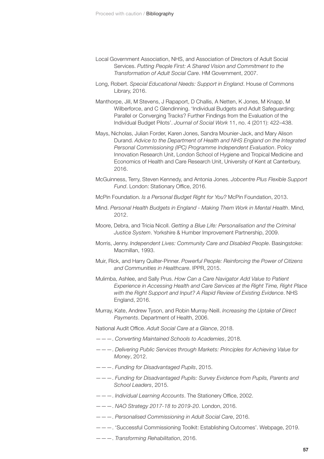- Local Government Association, NHS, and Association of Directors of Adult Social Services. *Putting People First: A Shared Vision and Commitment to the Transformation of Adult Social Care*. HM Government, 2007.
- Long, Robert. *Special Educational Needs: Support in England*. House of Commons Library, 2016.
- Manthorpe, Jill, M Stevens, J Rapaport, D Challis, A Netten, K Jones, M Knapp, M Wilberforce, and C Glendinning. 'Individual Budgets and Adult Safeguarding: Parallel or Converging Tracks? Further Findings from the Evaluation of the Individual Budget Pilots'. *Journal of Social Work* 11, no. 4 (2011): 422–438.
- Mays, Nicholas, Julian Forder, Karen Jones, Sandra Mounier-Jack, and Mary Alison Durand. *Advice to the Department of Health and NHS England on the Integrated Personal Commissioning (IPC) Programme Independent Evaluation*. Policy Innovation Research Unit, London School of Hygiene and Tropical Medicine and Economics of Health and Care Research Unit, University of Kent at Canterbury, 2016.
- McGuinness, Terry, Steven Kennedy, and Antonia Jones. *Jobcentre Plus Flexible Support Fund*. London: Stationary Office, 2016.
- McPin Foundation. *Is a Personal Budget Right for You?* McPin Foundation, 2013.
- Mind. *Personal Health Budgets in England Making Them Work in Mental Health*. Mind, 2012.
- Moore, Debra, and Tricia Nicoll. *Getting a Blue Life: Personalisation and the Criminal Justice System*. Yorkshire & Humber Improvement Partnership, 2009.
- Morris, Jenny. *Independent Lives: Community Care and Disabled People*. Basingstoke: Macmillan, 1993.
- Muir, Rick, and Harry Quilter-Pinner. *Powerful People: Reinforcing the Power of Citizens and Communities in Healthcare*. IPPR, 2015.
- Mulimba, Ashlee, and Sally Prus. *How Can a Care Navigator Add Value to Patient Experience in Accessing Health and Care Services at the Right Time, Right Place with the Right Support and Input? A Rapid Review of Existing Evidence*. NHS England, 2016.
- Murray, Kate, Andrew Tyson, and Robin Murray-Neill. *Increasing the Uptake of Direct Payments*. Department of Health, 2006.

National Audit Office. *Adult Social Care at a Glance*, 2018.

- ———. *Converting Maintained Schools to Academies*, 2018.
- ———. *Delivering Public Services through Markets: Principles for Achieving Value for Money*, 2012.
- ———. *Funding for Disadvantaged Pupils*, 2015.
- ———. *Funding for Disadvantaged Pupils: Survey Evidence from Pupils, Parents and School Leaders*, 2015.
- ———. *Individual Learning Accounts*. The Stationery Office, 2002.
- ———. *NAO Strategy 2017-18 to 2019-20*. London, 2016.
- ———. *Personalised Commissioning in Adult Social Care*, 2016.
- ———. 'Successful Commissioning Toolkit: Establishing Outcomes'. Webpage, 2019.
- ———. *Transforming Rehabilitation*, 2016.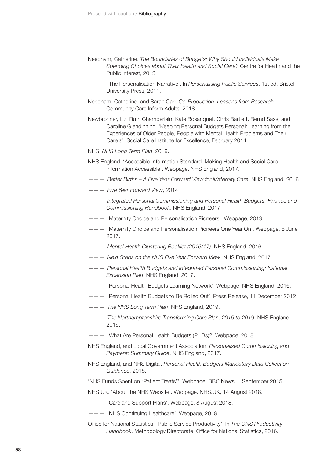- Needham, Catherine. *The Boundaries of Budgets: Why Should Individuals Make Spending Choices about Their Health and Social Care?* Centre for Health and the Public Interest, 2013.
- ———. 'The Personalisation Narrative'. In *Personalising Public Services*, 1st ed. Bristol University Press, 2011.
- Needham, Catherine, and Sarah Carr. *Co-Production: Lessons from Research*. Community Care Inform Adults, 2018.
- Newbronner, Liz, Ruth Chamberlain, Kate Bosanquet, Chris Bartlett, Bernd Sass, and Caroline Glendinning. 'Keeping Personal Budgets Personal: Learning from the Experiences of Older People, People with Mental Health Problems and Their Carers'. Social Care Institute for Excellence, February 2014.
- NHS. *NHS Long Term Plan*, 2019.
- NHS England. 'Accessible Information Standard: Making Health and Social Care Information Accessible'. Webpage. NHS England, 2017.
- ———. *Better Births A Five Year Forward View for Maternity Care.* NHS England, 2016.
- ———. *Five Year Forward View*, 2014.
- ———. *Integrated Personal Commissioning and Personal Health Budgets: Finance and Commissioning Handbook*. NHS England, 2017.
- ———. 'Maternity Choice and Personalisation Pioneers'. Webpage, 2019.
- ———. 'Maternity Choice and Personalisation Pioneers One Year On'. Webpage, 8 June 2017.
- ———. *Mental Health Clustering Booklet (2016/17)*. NHS England, 2016.
- ———. *Next Steps on the NHS Five Year Forward View*. NHS England, 2017.
- ———. *Personal Health Budgets and Integrated Personal Commissioning: National Expansion Plan*. NHS England, 2017.
- ———. 'Personal Health Budgets Learning Network'. Webpage. NHS England, 2016.
- ———. 'Personal Health Budgets to Be Rolled Out'. Press Release, 11 December 2012.
- ———. *The NHS Long Term Plan*. NHS England, 2019.
- ———. *The Northamptonshire Transforming Care Plan, 2016 to 2019*. NHS England, 2016.
- ———. 'What Are Personal Health Budgets (PHBs)?' Webpage, 2018.
- NHS England, and Local Government Association. *Personalised Commissioning and Payment: Summary Guide*. NHS England, 2017.
- NHS England, and NHS Digital. *Personal Health Budgets Mandatory Data Collection Guidance*, 2018.
- 'NHS Funds Spent on "Patient Treats"'. Webpage. BBC News, 1 September 2015.
- [NHS.UK.](http://NHS.UK) 'About the NHS Website'. Webpage. [NHS.UK](http://NHS.UK), 14 August 2018.
- ———. 'Care and Support Plans'. Webpage, 8 August 2018.
- ———. 'NHS Continuing Healthcare'. Webpage, 2019.
- Office for National Statistics. 'Public Service Productivity'. In *The ONS Productivity Handbook*. Methodology Directorate. Office for National Statistics, 2016.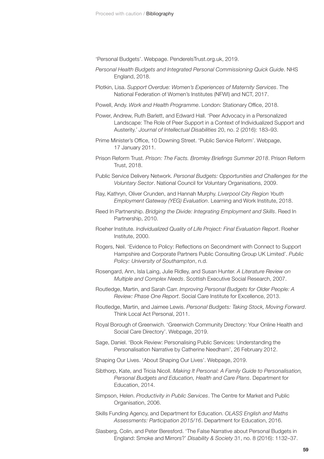'Personal Budgets'. Webpage. [PenderelsTrust.org.uk](http://PenderelsTrust.org.uk), 2019.

- *Personal Health Budgets and Integrated Personal Commissioning Quick Guide*. NHS England, 2018.
- Plotkin, Lisa. *Support Overdue: Women's Experiences of Maternity Services*. The National Federation of Women's Institutes (NFWI) and NCT, 2017.
- Powell, Andy. *Work and Health Programme*. London: Stationary Office, 2018.
- Power, Andrew, Ruth Barlett, and Edward Hall. 'Peer Advocacy in a Personalized Landscape: The Role of Peer Support in a Context of Individualized Support and Austerity.' *Journal of Intellectual Disabilities* 20, no. 2 (2016): 183–93.
- Prime Minister's Office, 10 Downing Street. 'Public Service Reform'. Webpage, 17 January 2011.
- Prison Reform Trust. *Prison: The Facts. Bromley Briefings Summer 2018*. Prison Reform Trust, 2018.
- Public Service Delivery Network. *Personal Budgets: Opportunities and Challenges for the Voluntary Sector*. National Council for Voluntary Organisations, 2009.
- Ray, Kathryn, Oliver Crunden, and Hannah Murphy. *Liverpool City Region Youth Employment Gateway (YEG) Evaluation*. Learning and Work Institute, 2018.
- Reed In Partnership. *Bridging the Divide: Integrating Employment and Skills*. Reed In Partnership, 2010.
- Roeher Institute. *Individualized Quality of Life Project: Final Evaluation Report*. Roeher Institute, 2000.
- Rogers, Neil. 'Evidence to Policy: Reflections on Secondment with Connect to Support Hampshire and Corporate Partners Public Consulting Group UK Limited'. *Public Policy: University of Southampton*, n.d.
- Rosengard, Ann, Isla Laing, Julie Ridley, and Susan Hunter. *A Literature Review on Multiple and Complex Needs*. Scottish Executive Social Research, 2007.
- Routledge, Martin, and Sarah Carr. *Improving Personal Budgets for Older People: A Review: Phase One Report*. Social Care Institute for Excellence, 2013.
- Routledge, Martin, and Jaimee Lewis. *Personal Budgets: Taking Stock, Moving Forward*. Think Local Act Personal, 2011.
- Royal Borough of Greenwich. 'Greenwich Community Directory: Your Online Health and Social Care Directory'. Webpage, 2019.
- Sage, Daniel. 'Book Review: Personalising Public Services: Understanding the Personalisation Narrative by Catherine Needham', 26 February 2012.
- Shaping Our Lives. 'About Shaping Our Lives'. Webpage, 2019.
- Sibthorp, Kate, and Tricia Nicoll. *Making It Personal: A Family Guide to Personalisation, Personal Budgets and Education, Health and Care Plans*. Department for Education, 2014.
- Simpson, Helen. *Productivity in Public Services*. The Centre for Market and Public Organisation, 2006.
- Skills Funding Agency, and Department for Education. *OLASS English and Maths Assessments: Participation 2015/16*. Department for Education, 2016.
- Slasberg, Colin, and Peter Beresford. 'The False Narrative about Personal Budgets in England: Smoke and Mirrors?' *Disability & Society* 31, no. 8 (2016): 1132–37.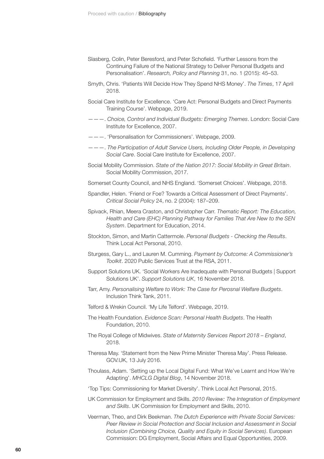- Slasberg, Colin, Peter Beresford, and Peter Schofield. 'Further Lessons from the Continuing Failure of the National Strategy to Deliver Personal Budgets and Personalisation'. *Research, Policy and Planning* 31, no. 1 (2015): 45–53.
- Smyth, Chris. 'Patients Will Decide How They Spend NHS Money'. *The Times*, 17 April 2018.
- Social Care Institute for Excellence. 'Care Act: Personal Budgets and Direct Payments Training Course'. Webpage, 2019.
- ———. *Choice, Control and Individual Budgets: Emerging Themes*. London: Social Care Institute for Excellence, 2007.
- ———. 'Personalisation for Commissioners'. Webpage, 2009.
- ———. *The Participation of Adult Service Users, Including Older People, in Developing Social Care*. Social Care Institute for Excellence, 2007.
- Social Mobility Commission. *State of the Nation 2017: Social Mobility in Great Britain*. Social Mobility Commission, 2017.
- Somerset County Council, and NHS England. 'Somerset Choices'. Webpage, 2018.
- Spandler, Helen. 'Friend or Foe? Towards a Critical Assessment of Direct Payments'. *Critical Social Policy* 24, no. 2 (2004): 187–209.
- Spivack, Rhian, Meera Craston, and Christopher Carr. *Thematic Report: The Education, Health and Care (EHC) Planning Pathway for Families That Are New to the SEN System*. Department for Education, 2014.
- Stockton, Simon, and Martin Cattermole. *Personal Budgets Checking the Results*. Think Local Act Personal, 2010.
- Sturgess, Gary L., and Lauren M. Cumming. *Payment by Outcome: A Commissioner's Toolkit*. 2020 Public Services Trust at the RSA, 2011.
- Support Solutions UK. 'Social Workers Are Inadequate with Personal Budgets | Support Solutions UK'. *Support Solutions UK*, 16 November 2018.
- Tarr, Amy. *Personalising Welfare to Work: The Case for Perosnal Welfare Budgets*. Inclusion Think Tank, 2011.
- Telford & Wrekin Council. 'My Life Telford'. Webpage, 2019.
- The Health Foundation. *Evidence Scan: Personal Health Budgets*. The Health Foundation, 2010.
- The Royal College of Midwives. *State of Maternity Services Report 2018 England*, 2018.
- Theresa May. 'Statement from the New Prime Minister Theresa May'. Press Release. [GOV.UK,](http://GOV.UK) 13 July 2016.
- Thoulass, Adam. 'Setting up the Local Digital Fund: What We've Learnt and How We're Adapting'. *MHCLG Digital Blog*, 14 November 2018.
- 'Top Tips: Commissioning for Market Diversity'. Think Local Act Personal, 2015.
- UK Commission for Employment and Skills. *2010 Review: The Integration of Employment and Skills*. UK Commission for Employment and Skills, 2010.
- Veerman, Theo, and Dirk Beekman. *The Dutch Experience with Private Social Services: Peer Review in Social Protection and Social Inclusion and Assessment in Social Inclusion (Combining Choice, Quality and Equity in Social Services)*. European Commission: DG Employment, Social Affairs and Equal Opportunities, 2009.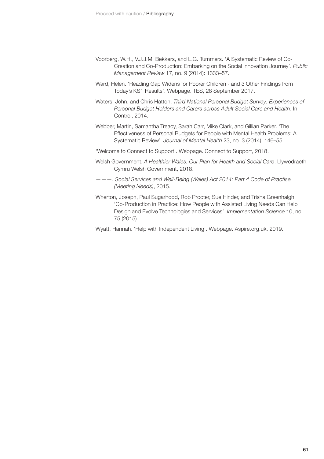- Voorberg, W.H., V.J.J.M. Bekkers, and L.G. Tummers. 'A Systematic Review of Co-Creation and Co-Production: Embarking on the Social Innovation Journey'. *Public Management Review* 17, no. 9 (2014): 1333–57.
- Ward, Helen. 'Reading Gap Widens for Poorer Children and 3 Other Findings from Today's KS1 Results'. Webpage. TES, 28 September 2017.
- Waters, John, and Chris Hatton. *Third National Personal Budget Survey: Experiences of Personal Budget Holders and Carers across Adult Social Care and Health*. In Control, 2014.
- Webber, Martin, Samantha Treacy, Sarah Carr, Mike Clark, and Gillian Parker. 'The Effectiveness of Personal Budgets for People with Mental Health Problems: A Systematic Review'. *Journal of Mental Health* 23, no. 3 (2014): 146–55.
- 'Welcome to Connect to Support'. Webpage. Connect to Support, 2018.
- Welsh Government. *A Healthier Wales: Our Plan for Health and Social Care*. Llywodraeth Cymru Welsh Government, 2018.
- ———. *Social Services and Well-Being (Wales) Act 2014: Part 4 Code of Practise (Meeting Needs)*, 2015.
- Wherton, Joseph, Paul Sugarhood, Rob Procter, Sue Hinder, and Trisha Greenhalgh. 'Co-Production in Practice: How People with Assisted Living Needs Can Help Design and Evolve Technologies and Services'. *Implementation Science* 10, no. 75 (2015).
- Wyatt, Hannah. 'Help with Independent Living'. Webpage. [Aspire.org.uk,](http://Aspire.org.uk) 2019.